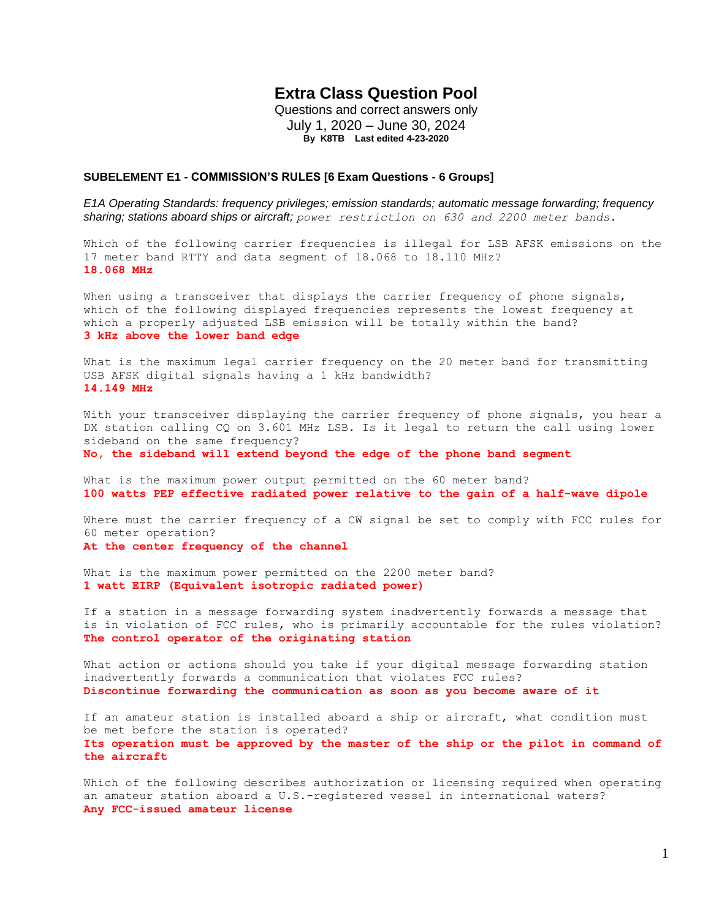# **Extra Class Question Pool**

Questions and correct answers only July 1, 2020 – June 30, 2024 **By K8TB Last edited 4-23-2020**

#### **SUBELEMENT E1 - COMMISSION'S RULES [6 Exam Questions - 6 Groups]**

*E1A Operating Standards: frequency privileges; emission standards; automatic message forwarding; frequency sharing; stations aboard ships or aircraft; power restriction on 630 and 2200 meter bands.*

Which of the following carrier frequencies is illegal for LSB AFSK emissions on the 17 meter band RTTY and data segment of 18.068 to 18.110 MHz? **18.068 MHz**

When using a transceiver that displays the carrier frequency of phone signals, which of the following displayed frequencies represents the lowest frequency at which a properly adjusted LSB emission will be totally within the band? **3 kHz above the lower band edge**

What is the maximum legal carrier frequency on the 20 meter band for transmitting USB AFSK digital signals having a 1 kHz bandwidth? **14.149 MHz**

With your transceiver displaying the carrier frequency of phone signals, you hear a DX station calling CQ on 3.601 MHz LSB. Is it legal to return the call using lower sideband on the same frequency?

**No, the sideband will extend beyond the edge of the phone band segment**

What is the maximum power output permitted on the 60 meter band? **100 watts PEP effective radiated power relative to the gain of a half-wave dipole**

Where must the carrier frequency of a CW signal be set to comply with FCC rules for 60 meter operation? **At the center frequency of the channel**

What is the maximum power permitted on the 2200 meter band? **1 watt EIRP (Equivalent isotropic radiated power)**

If a station in a message forwarding system inadvertently forwards a message that is in violation of FCC rules, who is primarily accountable for the rules violation? **The control operator of the originating station**

What action or actions should you take if your digital message forwarding station inadvertently forwards a communication that violates FCC rules? **Discontinue forwarding the communication as soon as you become aware of it**

If an amateur station is installed aboard a ship or aircraft, what condition must be met before the station is operated? **Its operation must be approved by the master of the ship or the pilot in command of the aircraft**

Which of the following describes authorization or licensing required when operating an amateur station aboard a U.S.-registered vessel in international waters? **Any FCC-issued amateur license**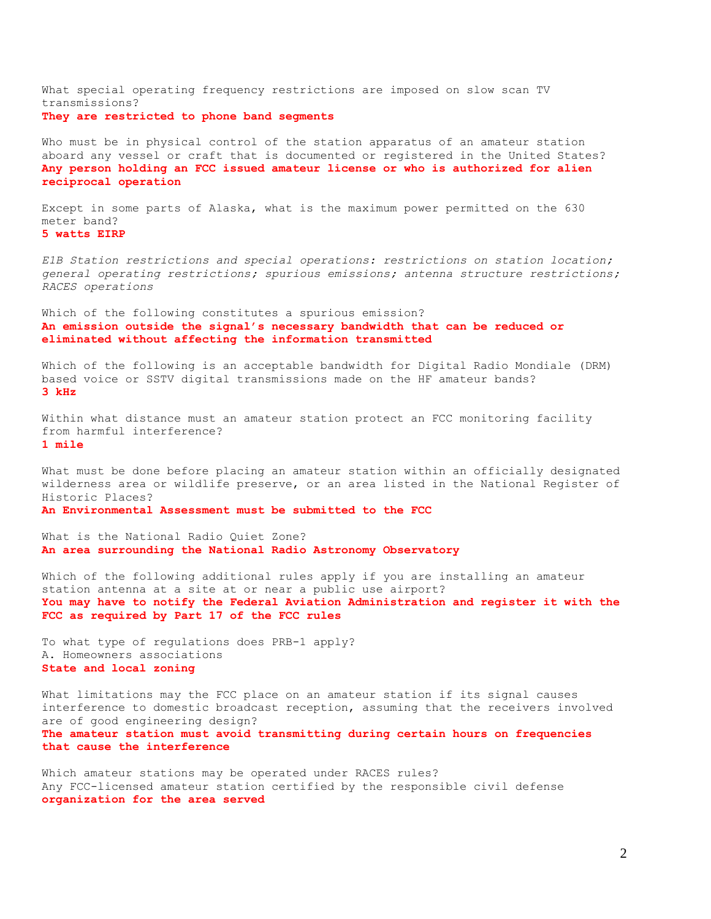What special operating frequency restrictions are imposed on slow scan TV transmissions? **They are restricted to phone band segments**

Who must be in physical control of the station apparatus of an amateur station aboard any vessel or craft that is documented or registered in the United States? **Any person holding an FCC issued amateur license or who is authorized for alien reciprocal operation**

Except in some parts of Alaska, what is the maximum power permitted on the 630 meter band? **5 watts EIRP**

*E1B Station restrictions and special operations: restrictions on station location; general operating restrictions; spurious emissions; antenna structure restrictions; RACES operations*

Which of the following constitutes a spurious emission? **An emission outside the signal's necessary bandwidth that can be reduced or eliminated without affecting the information transmitted**

Which of the following is an acceptable bandwidth for Digital Radio Mondiale (DRM) based voice or SSTV digital transmissions made on the HF amateur bands? **3 kHz**

Within what distance must an amateur station protect an FCC monitoring facility from harmful interference? **1 mile**

What must be done before placing an amateur station within an officially designated wilderness area or wildlife preserve, or an area listed in the National Register of Historic Places?

**An Environmental Assessment must be submitted to the FCC**

What is the National Radio Quiet Zone? **An area surrounding the National Radio Astronomy Observatory**

Which of the following additional rules apply if you are installing an amateur station antenna at a site at or near a public use airport? **You may have to notify the Federal Aviation Administration and register it with the FCC as required by Part 17 of the FCC rules**

To what type of regulations does PRB-1 apply? A. Homeowners associations **State and local zoning**

What limitations may the FCC place on an amateur station if its signal causes interference to domestic broadcast reception, assuming that the receivers involved are of good engineering design? **The amateur station must avoid transmitting during certain hours on frequencies that cause the interference**

Which amateur stations may be operated under RACES rules? Any FCC-licensed amateur station certified by the responsible civil defense **organization for the area served**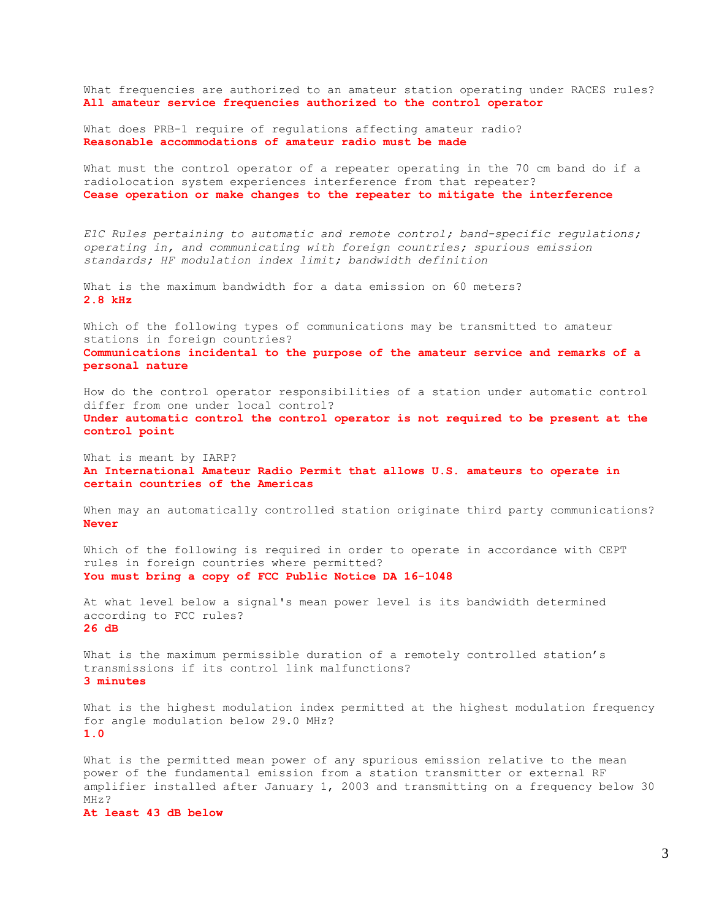What frequencies are authorized to an amateur station operating under RACES rules? **All amateur service frequencies authorized to the control operator**

What does PRB-1 require of regulations affecting amateur radio? **Reasonable accommodations of amateur radio must be made**

What must the control operator of a repeater operating in the 70 cm band do if a radiolocation system experiences interference from that repeater? **Cease operation or make changes to the repeater to mitigate the interference**

*E1C Rules pertaining to automatic and remote control; band-specific regulations; operating in, and communicating with foreign countries; spurious emission standards; HF modulation index limit; bandwidth definition*

What is the maximum bandwidth for a data emission on 60 meters? **2.8 kHz**

Which of the following types of communications may be transmitted to amateur stations in foreign countries? **Communications incidental to the purpose of the amateur service and remarks of a personal nature**

How do the control operator responsibilities of a station under automatic control differ from one under local control? **Under automatic control the control operator is not required to be present at the control point**

What is meant by IARP? **An International Amateur Radio Permit that allows U.S. amateurs to operate in certain countries of the Americas**

When may an automatically controlled station originate third party communications? **Never**

Which of the following is required in order to operate in accordance with CEPT rules in foreign countries where permitted? **You must bring a copy of FCC Public Notice DA 16-1048**

At what level below a signal's mean power level is its bandwidth determined according to FCC rules? **26 dB**

What is the maximum permissible duration of a remotely controlled station's transmissions if its control link malfunctions? **3 minutes**

What is the highest modulation index permitted at the highest modulation frequency for angle modulation below 29.0 MHz? **1.0**

What is the permitted mean power of any spurious emission relative to the mean power of the fundamental emission from a station transmitter or external RF amplifier installed after January 1, 2003 and transmitting on a frequency below 30 MHz?

**At least 43 dB below**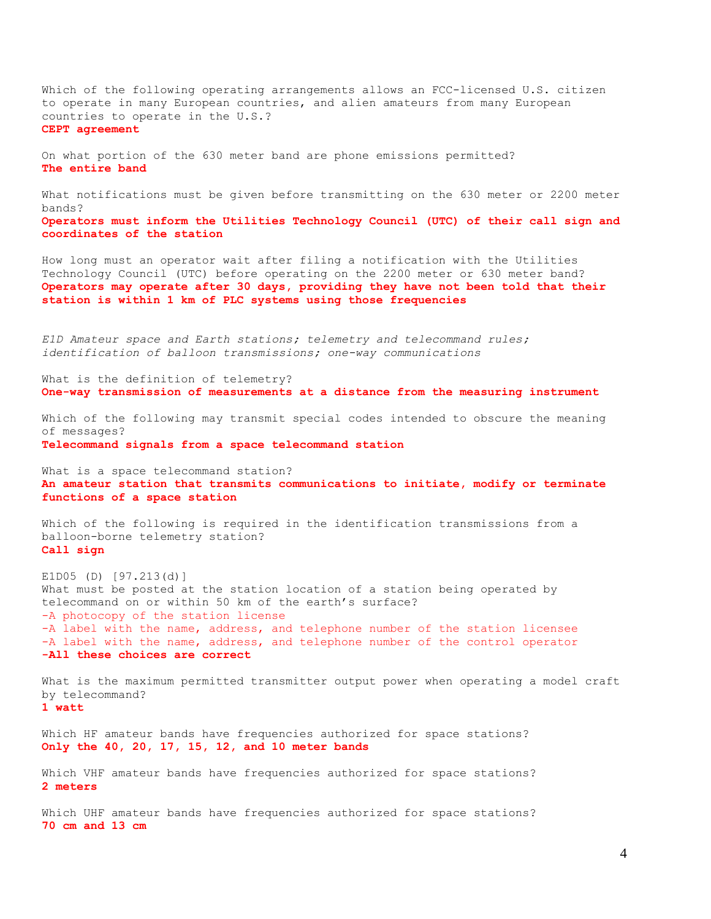Which of the following operating arrangements allows an FCC-licensed U.S. citizen to operate in many European countries, and alien amateurs from many European countries to operate in the U.S.? **CEPT agreement** On what portion of the 630 meter band are phone emissions permitted? **The entire band** What notifications must be given before transmitting on the 630 meter or 2200 meter bands? **Operators must inform the Utilities Technology Council (UTC) of their call sign and coordinates of the station** How long must an operator wait after filing a notification with the Utilities Technology Council (UTC) before operating on the 2200 meter or 630 meter band? **Operators may operate after 30 days, providing they have not been told that their station is within 1 km of PLC systems using those frequencies** *E1D Amateur space and Earth stations; telemetry and telecommand rules; identification of balloon transmissions; one-way communications* What is the definition of telemetry? **One-way transmission of measurements at a distance from the measuring instrument** Which of the following may transmit special codes intended to obscure the meaning of messages? **Telecommand signals from a space telecommand station** What is a space telecommand station?

**An amateur station that transmits communications to initiate, modify or terminate functions of a space station**

Which of the following is required in the identification transmissions from a balloon-borne telemetry station? **Call sign**

E1D05 (D) [97.213(d)] What must be posted at the station location of a station being operated by telecommand on or within 50 km of the earth's surface? -A photocopy of the station license -A label with the name, address, and telephone number of the station licensee -A label with the name, address, and telephone number of the control operator **-All these choices are correct**

What is the maximum permitted transmitter output power when operating a model craft by telecommand? **1 watt**

Which HF amateur bands have frequencies authorized for space stations? **Only the 40, 20, 17, 15, 12, and 10 meter bands**

Which VHF amateur bands have frequencies authorized for space stations? **2 meters**

Which UHF amateur bands have frequencies authorized for space stations? **70 cm and 13 cm**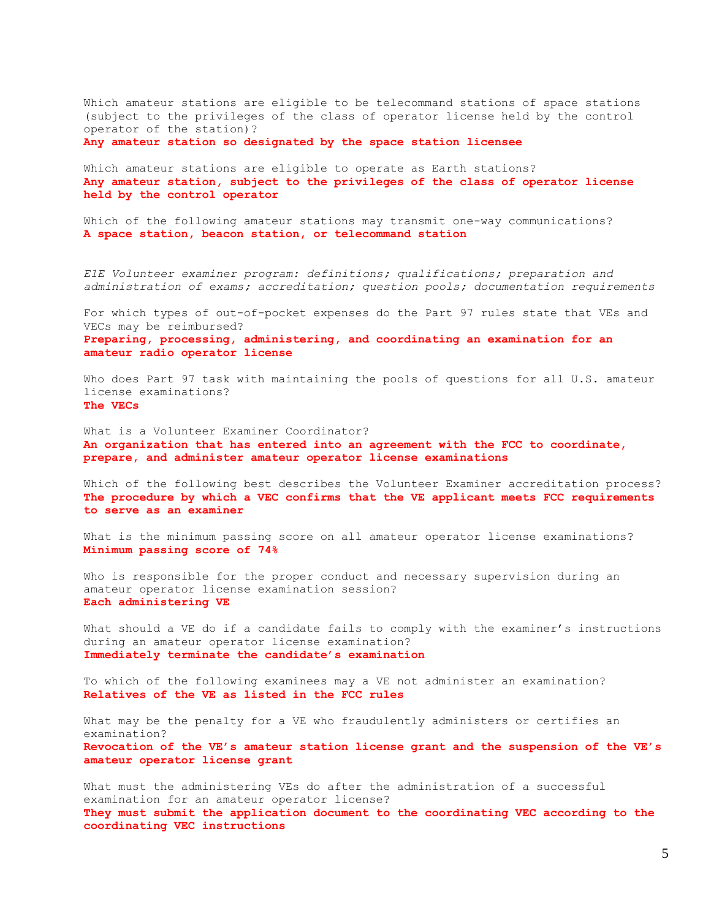Which amateur stations are eligible to be telecommand stations of space stations (subject to the privileges of the class of operator license held by the control operator of the station)?

**Any amateur station so designated by the space station licensee**

Which amateur stations are eligible to operate as Earth stations? **Any amateur station, subject to the privileges of the class of operator license held by the control operator**

Which of the following amateur stations may transmit one-way communications? **A space station, beacon station, or telecommand station**

*E1E Volunteer examiner program: definitions; qualifications; preparation and administration of exams; accreditation; question pools; documentation requirements*

For which types of out-of-pocket expenses do the Part 97 rules state that VEs and VECs may be reimbursed?

**Preparing, processing, administering, and coordinating an examination for an amateur radio operator license**

Who does Part 97 task with maintaining the pools of questions for all U.S. amateur license examinations? **The VECs**

What is a Volunteer Examiner Coordinator? **An organization that has entered into an agreement with the FCC to coordinate, prepare, and administer amateur operator license examinations**

Which of the following best describes the Volunteer Examiner accreditation process? **The procedure by which a VEC confirms that the VE applicant meets FCC requirements to serve as an examiner**

What is the minimum passing score on all amateur operator license examinations? **Minimum passing score of 74%**

Who is responsible for the proper conduct and necessary supervision during an amateur operator license examination session? **Each administering VE**

What should a VE do if a candidate fails to comply with the examiner's instructions during an amateur operator license examination? **Immediately terminate the candidate's examination**

To which of the following examinees may a VE not administer an examination? **Relatives of the VE as listed in the FCC rules**

What may be the penalty for a VE who fraudulently administers or certifies an examination? **Revocation of the VE's amateur station license grant and the suspension of the VE's amateur operator license grant**

What must the administering VEs do after the administration of a successful examination for an amateur operator license? **They must submit the application document to the coordinating VEC according to the coordinating VEC instructions**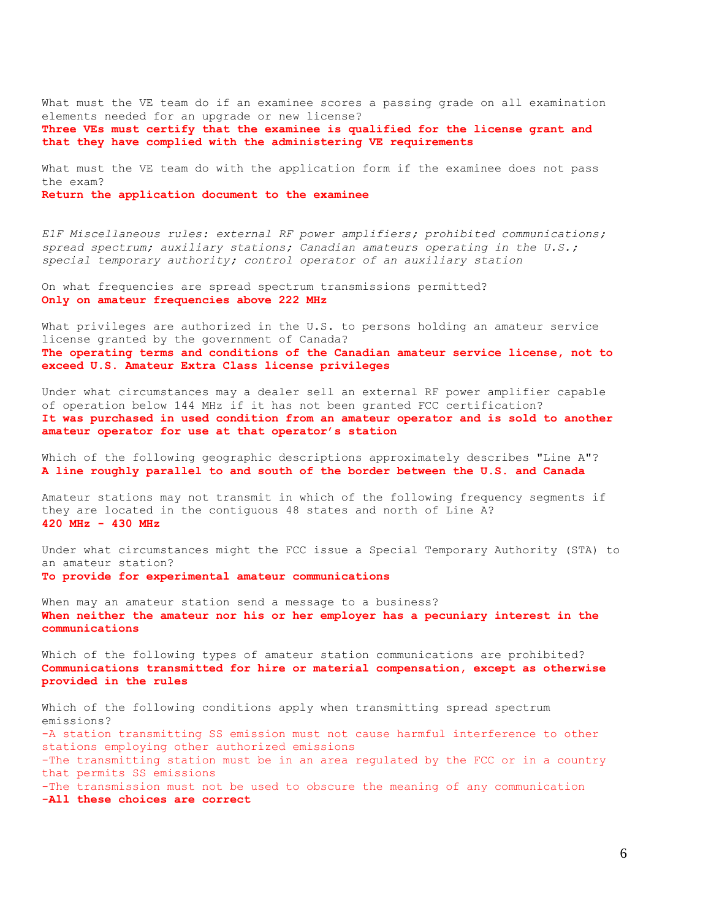What must the VE team do if an examinee scores a passing grade on all examination elements needed for an upgrade or new license? **Three VEs must certify that the examinee is qualified for the license grant and** 

What must the VE team do with the application form if the examinee does not pass the exam?

**Return the application document to the examinee**

*E1F Miscellaneous rules: external RF power amplifiers; prohibited communications; spread spectrum; auxiliary stations; Canadian amateurs operating in the U.S.; special temporary authority; control operator of an auxiliary station*

On what frequencies are spread spectrum transmissions permitted? **Only on amateur frequencies above 222 MHz**

**that they have complied with the administering VE requirements**

What privileges are authorized in the U.S. to persons holding an amateur service license granted by the government of Canada? **The operating terms and conditions of the Canadian amateur service license, not to exceed U.S. Amateur Extra Class license privileges**

Under what circumstances may a dealer sell an external RF power amplifier capable of operation below 144 MHz if it has not been granted FCC certification? **It was purchased in used condition from an amateur operator and is sold to another amateur operator for use at that operator's station**

Which of the following geographic descriptions approximately describes "Line A"? **A line roughly parallel to and south of the border between the U.S. and Canada**

Amateur stations may not transmit in which of the following frequency segments if they are located in the contiguous 48 states and north of Line A? **420 MHz - 430 MHz**

Under what circumstances might the FCC issue a Special Temporary Authority (STA) to an amateur station? **To provide for experimental amateur communications**

When may an amateur station send a message to a business? **When neither the amateur nor his or her employer has a pecuniary interest in the communications**

Which of the following types of amateur station communications are prohibited? **Communications transmitted for hire or material compensation, except as otherwise provided in the rules**

Which of the following conditions apply when transmitting spread spectrum emissions? -A station transmitting SS emission must not cause harmful interference to other stations employing other authorized emissions -The transmitting station must be in an area regulated by the FCC or in a country that permits SS emissions -The transmission must not be used to obscure the meaning of any communication **-All these choices are correct**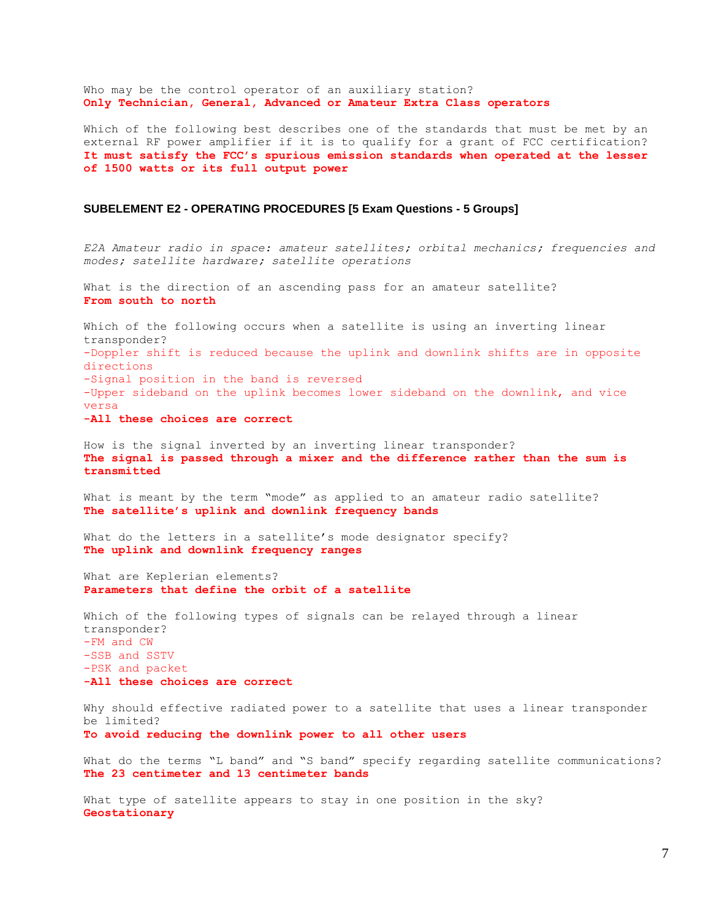Who may be the control operator of an auxiliary station? **Only Technician, General, Advanced or Amateur Extra Class operators**

Which of the following best describes one of the standards that must be met by an external RF power amplifier if it is to qualify for a grant of FCC certification? **It must satisfy the FCC's spurious emission standards when operated at the lesser of 1500 watts or its full output power**

### **SUBELEMENT E2 - OPERATING PROCEDURES [5 Exam Questions - 5 Groups]**

*E2A Amateur radio in space: amateur satellites; orbital mechanics; frequencies and modes; satellite hardware; satellite operations*

What is the direction of an ascending pass for an amateur satellite? **From south to north**

Which of the following occurs when a satellite is using an inverting linear transponder? -Doppler shift is reduced because the uplink and downlink shifts are in opposite directions -Signal position in the band is reversed -Upper sideband on the uplink becomes lower sideband on the downlink, and vice versa **-All these choices are correct**

How is the signal inverted by an inverting linear transponder? **The signal is passed through a mixer and the difference rather than the sum is transmitted**

What is meant by the term "mode" as applied to an amateur radio satellite? **The satellite's uplink and downlink frequency bands**

What do the letters in a satellite's mode designator specify? **The uplink and downlink frequency ranges**

What are Keplerian elements? **Parameters that define the orbit of a satellite**

Which of the following types of signals can be relayed through a linear transponder? -FM and CW -SSB and SSTV -PSK and packet **-All these choices are correct**

Why should effective radiated power to a satellite that uses a linear transponder be limited? **To avoid reducing the downlink power to all other users**

What do the terms "L band" and "S band" specify regarding satellite communications? **The 23 centimeter and 13 centimeter bands**

What type of satellite appears to stay in one position in the sky? **Geostationary**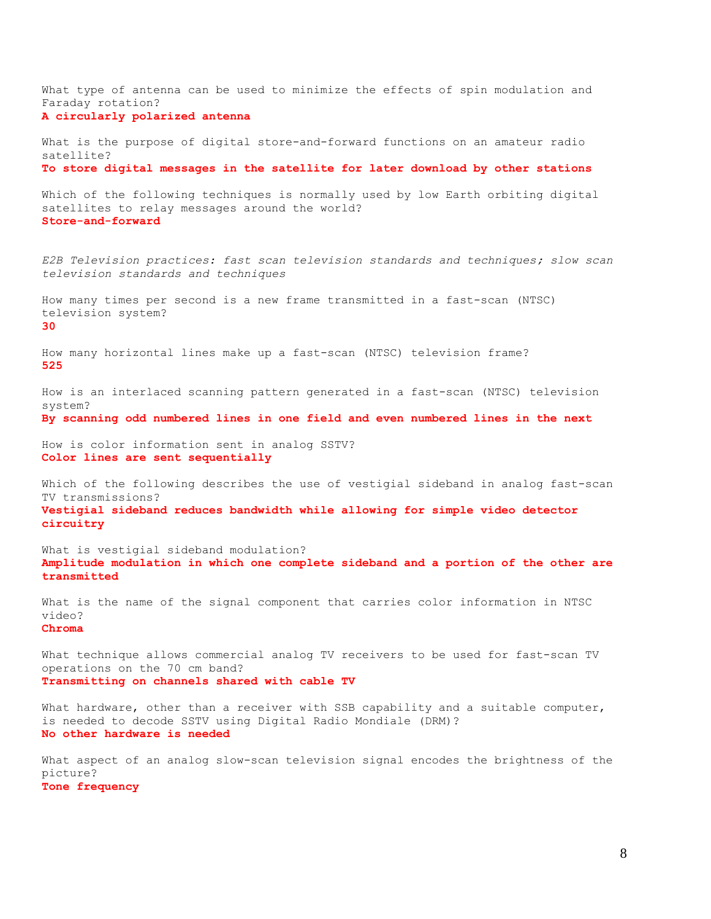What type of antenna can be used to minimize the effects of spin modulation and Faraday rotation? **A circularly polarized antenna** What is the purpose of digital store-and-forward functions on an amateur radio satellite? **To store digital messages in the satellite for later download by other stations** Which of the following techniques is normally used by low Earth orbiting digital satellites to relay messages around the world? **Store-and-forward** *E2B Television practices: fast scan television standards and techniques; slow scan television standards and techniques* How many times per second is a new frame transmitted in a fast-scan (NTSC) television system? **30** How many horizontal lines make up a fast-scan (NTSC) television frame? **525** How is an interlaced scanning pattern generated in a fast-scan (NTSC) television system? **By scanning odd numbered lines in one field and even numbered lines in the next** How is color information sent in analog SSTV? **Color lines are sent sequentially** Which of the following describes the use of vestigial sideband in analog fast-scan TV transmissions? **Vestigial sideband reduces bandwidth while allowing for simple video detector circuitry** What is vestigial sideband modulation? **Amplitude modulation in which one complete sideband and a portion of the other are transmitted** What is the name of the signal component that carries color information in NTSC video? **Chroma** What technique allows commercial analog TV receivers to be used for fast-scan TV operations on the 70 cm band? **Transmitting on channels shared with cable TV** What hardware, other than a receiver with SSB capability and a suitable computer, is needed to decode SSTV using Digital Radio Mondiale (DRM)? **No other hardware is needed** What aspect of an analog slow-scan television signal encodes the brightness of the picture? **Tone frequency**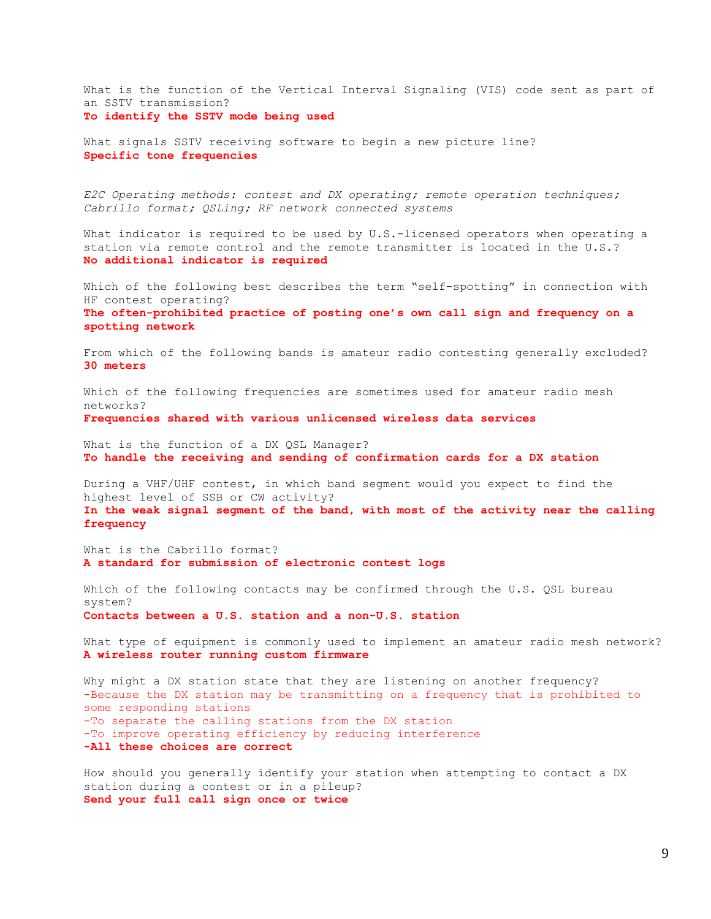What is the function of the Vertical Interval Signaling (VIS) code sent as part of an SSTV transmission? **To identify the SSTV mode being used**

What signals SSTV receiving software to begin a new picture line? **Specific tone frequencies**

*E2C Operating methods: contest and DX operating; remote operation techniques; Cabrillo format; QSLing; RF network connected systems*

What indicator is required to be used by U.S.-licensed operators when operating a station via remote control and the remote transmitter is located in the U.S.? **No additional indicator is required**

Which of the following best describes the term "self-spotting" in connection with HF contest operating? **The often-prohibited practice of posting one's own call sign and frequency on a spotting network**

From which of the following bands is amateur radio contesting generally excluded? **30 meters**

Which of the following frequencies are sometimes used for amateur radio mesh networks? **Frequencies shared with various unlicensed wireless data services**

What is the function of a DX QSL Manager? **To handle the receiving and sending of confirmation cards for a DX station**

During a VHF/UHF contest, in which band segment would you expect to find the highest level of SSB or CW activity?

**In the weak signal segment of the band, with most of the activity near the calling frequency**

What is the Cabrillo format? **A standard for submission of electronic contest logs**

Which of the following contacts may be confirmed through the U.S. QSL bureau system? **Contacts between a U.S. station and a non-U.S. station**

What type of equipment is commonly used to implement an amateur radio mesh network? **A wireless router running custom firmware**

Why might a DX station state that they are listening on another frequency? -Because the DX station may be transmitting on a frequency that is prohibited to some responding stations -To separate the calling stations from the DX station -To improve operating efficiency by reducing interference **-All these choices are correct**

How should you generally identify your station when attempting to contact a DX station during a contest or in a pileup? **Send your full call sign once or twice**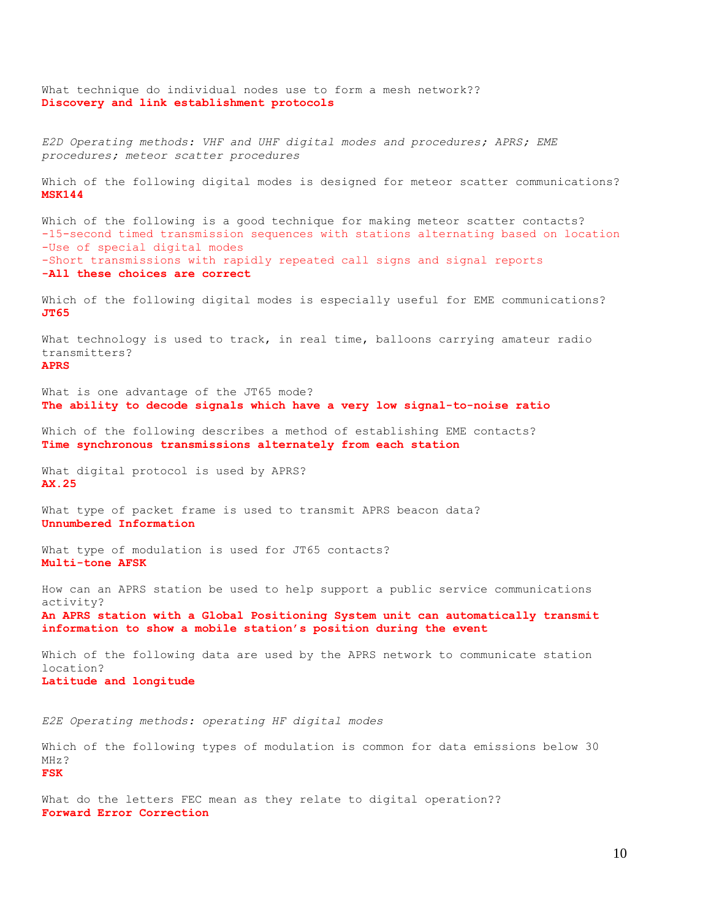What technique do individual nodes use to form a mesh network?? **Discovery and link establishment protocols** *E2D Operating methods: VHF and UHF digital modes and procedures; APRS; EME procedures; meteor scatter procedures* Which of the following digital modes is designed for meteor scatter communications? **MSK144** Which of the following is a good technique for making meteor scatter contacts? -15-second timed transmission sequences with stations alternating based on location -Use of special digital modes -Short transmissions with rapidly repeated call signs and signal reports **-All these choices are correct** Which of the following digital modes is especially useful for EME communications? **JT65** What technology is used to track, in real time, balloons carrying amateur radio transmitters? **APRS** What is one advantage of the JT65 mode? **The ability to decode signals which have a very low signal-to-noise ratio** Which of the following describes a method of establishing EME contacts? **Time synchronous transmissions alternately from each station** What digital protocol is used by APRS? **AX.25** What type of packet frame is used to transmit APRS beacon data? **Unnumbered Information** What type of modulation is used for JT65 contacts? **Multi-tone AFSK** How can an APRS station be used to help support a public service communications activity? **An APRS station with a Global Positioning System unit can automatically transmit information to show a mobile station's position during the event** Which of the following data are used by the APRS network to communicate station location? **Latitude and longitude** *E2E Operating methods: operating HF digital modes* Which of the following types of modulation is common for data emissions below 30 MHz? **FSK**

What do the letters FEC mean as they relate to digital operation?? **Forward Error Correction**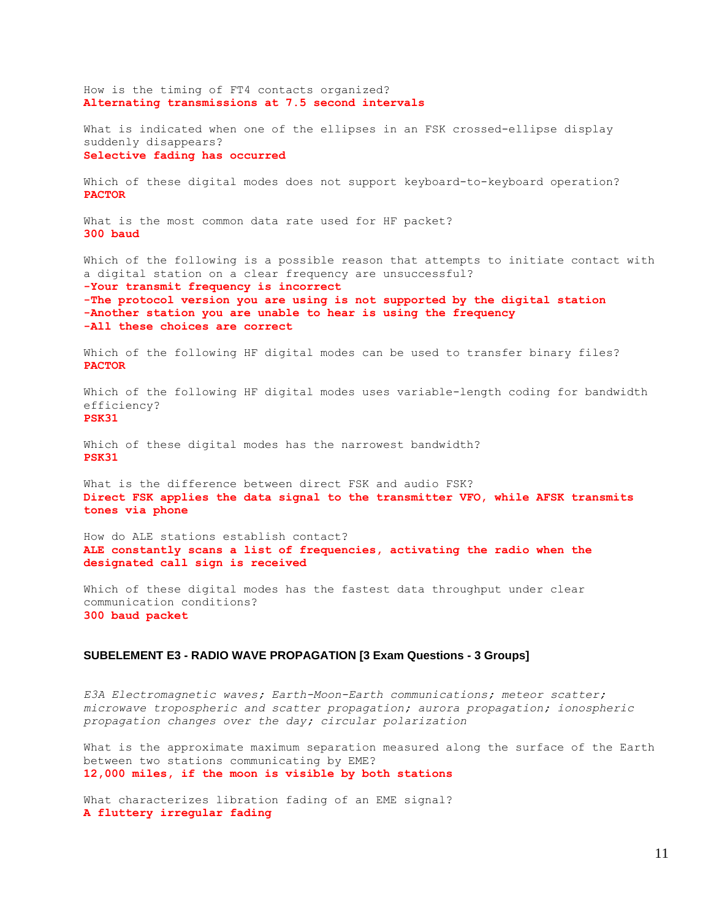How is the timing of FT4 contacts organized? **Alternating transmissions at 7.5 second intervals** What is indicated when one of the ellipses in an FSK crossed-ellipse display suddenly disappears? **Selective fading has occurred** Which of these digital modes does not support keyboard-to-keyboard operation? **PACTOR** What is the most common data rate used for HF packet? **300 baud** Which of the following is a possible reason that attempts to initiate contact with a digital station on a clear frequency are unsuccessful? **-Your transmit frequency is incorrect -The protocol version you are using is not supported by the digital station -Another station you are unable to hear is using the frequency -All these choices are correct** Which of the following HF digital modes can be used to transfer binary files? **PACTOR** Which of the following HF digital modes uses variable-length coding for bandwidth efficiency? **PSK31** Which of these digital modes has the narrowest bandwidth? **PSK31** What is the difference between direct FSK and audio FSK? **Direct FSK applies the data signal to the transmitter VFO, while AFSK transmits tones via phone** How do ALE stations establish contact? **ALE constantly scans a list of frequencies, activating the radio when the designated call sign is received** Which of these digital modes has the fastest data throughput under clear communication conditions? **300 baud packet**

# **SUBELEMENT E3 - RADIO WAVE PROPAGATION [3 Exam Questions - 3 Groups]**

*E3A Electromagnetic waves; Earth-Moon-Earth communications; meteor scatter; microwave tropospheric and scatter propagation; aurora propagation; ionospheric propagation changes over the day; circular polarization*

What is the approximate maximum separation measured along the surface of the Earth between two stations communicating by EME? **12,000 miles, if the moon is visible by both stations**

What characterizes libration fading of an EME signal? **A fluttery irregular fading**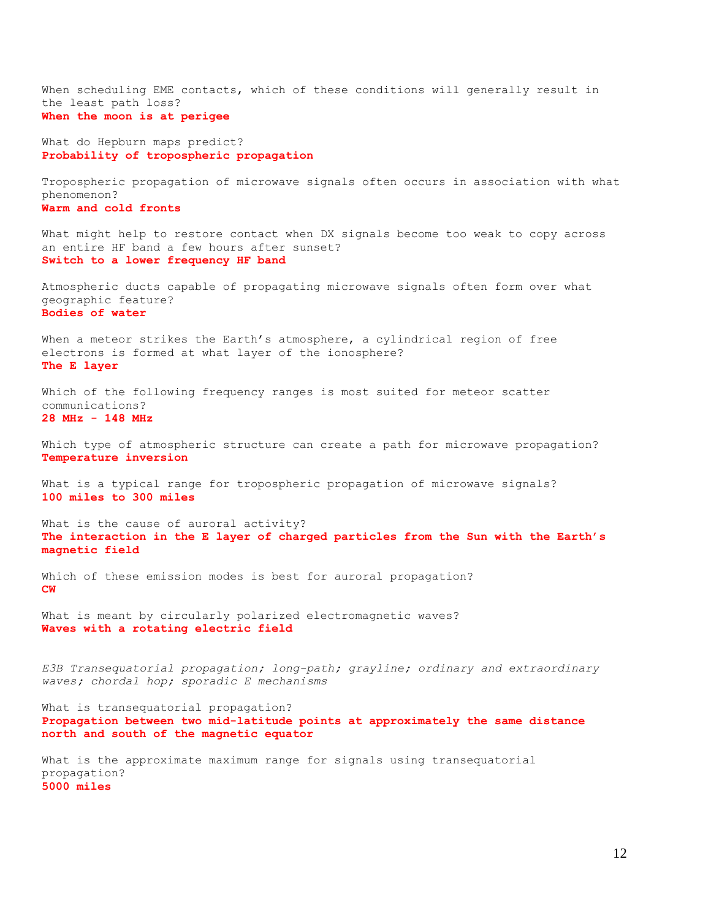When scheduling EME contacts, which of these conditions will generally result in the least path loss? **When the moon is at perigee**

What do Hepburn maps predict? **Probability of tropospheric propagation**

Tropospheric propagation of microwave signals often occurs in association with what phenomenon?

**Warm and cold fronts**

What might help to restore contact when DX signals become too weak to copy across an entire HF band a few hours after sunset? **Switch to a lower frequency HF band**

Atmospheric ducts capable of propagating microwave signals often form over what geographic feature? **Bodies of water**

When a meteor strikes the Earth's atmosphere, a cylindrical region of free electrons is formed at what layer of the ionosphere? **The E layer**

Which of the following frequency ranges is most suited for meteor scatter communications? **28 MHz - 148 MHz**

Which type of atmospheric structure can create a path for microwave propagation? **Temperature inversion**

What is a typical range for tropospheric propagation of microwave signals? **100 miles to 300 miles**

What is the cause of auroral activity? **The interaction in the E layer of charged particles from the Sun with the Earth's magnetic field**

Which of these emission modes is best for auroral propagation? **CW**

What is meant by circularly polarized electromagnetic waves? **Waves with a rotating electric field**

*E3B Transequatorial propagation; long-path; grayline; ordinary and extraordinary waves; chordal hop; sporadic E mechanisms*

What is transequatorial propagation? **Propagation between two mid-latitude points at approximately the same distance north and south of the magnetic equator**

What is the approximate maximum range for signals using transequatorial propagation? **5000 miles**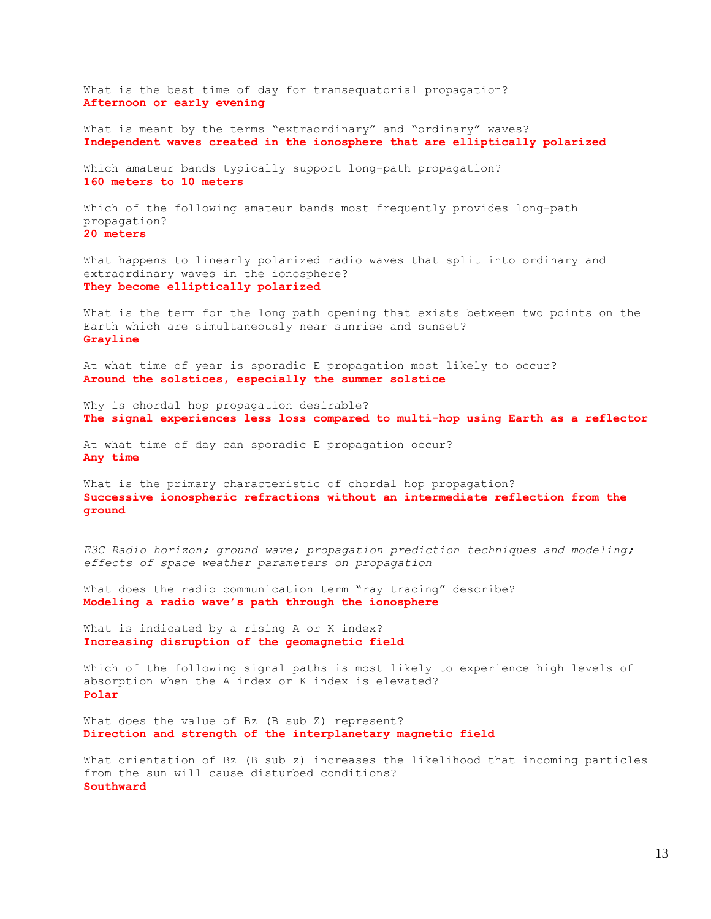What is the best time of day for transequatorial propagation? **Afternoon or early evening**

What is meant by the terms "extraordinary" and "ordinary" waves? **Independent waves created in the ionosphere that are elliptically polarized**

Which amateur bands typically support long-path propagation? **160 meters to 10 meters**

Which of the following amateur bands most frequently provides long-path propagation? **20 meters**

What happens to linearly polarized radio waves that split into ordinary and extraordinary waves in the ionosphere? **They become elliptically polarized**

What is the term for the long path opening that exists between two points on the Earth which are simultaneously near sunrise and sunset? **Grayline**

At what time of year is sporadic E propagation most likely to occur? **Around the solstices, especially the summer solstice**

Why is chordal hop propagation desirable? **The signal experiences less loss compared to multi-hop using Earth as a reflector**

At what time of day can sporadic E propagation occur? **Any time**

What is the primary characteristic of chordal hop propagation? **Successive ionospheric refractions without an intermediate reflection from the ground**

*E3C Radio horizon; ground wave; propagation prediction techniques and modeling; effects of space weather parameters on propagation*

What does the radio communication term "ray tracing" describe? **Modeling a radio wave's path through the ionosphere**

What is indicated by a rising A or K index? **Increasing disruption of the geomagnetic field**

Which of the following signal paths is most likely to experience high levels of absorption when the A index or K index is elevated? **Polar**

What does the value of Bz (B sub Z) represent? **Direction and strength of the interplanetary magnetic field**

What orientation of Bz (B sub z) increases the likelihood that incoming particles from the sun will cause disturbed conditions? **Southward**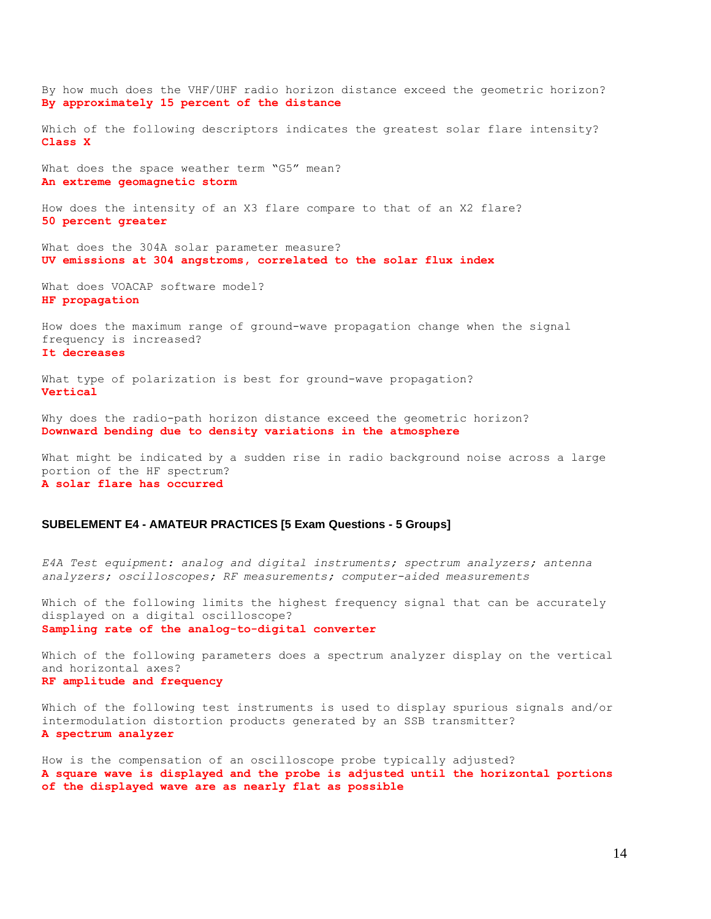By how much does the VHF/UHF radio horizon distance exceed the geometric horizon? **By approximately 15 percent of the distance** Which of the following descriptors indicates the greatest solar flare intensity? **Class X** What does the space weather term "G5" mean? **An extreme geomagnetic storm** How does the intensity of an X3 flare compare to that of an X2 flare? **50 percent greater** What does the 304A solar parameter measure? **UV emissions at 304 angstroms, correlated to the solar flux index** What does VOACAP software model? **HF propagation** How does the maximum range of ground-wave propagation change when the signal frequency is increased? **It decreases** What type of polarization is best for ground-wave propagation? **Vertical**

Why does the radio-path horizon distance exceed the geometric horizon? **Downward bending due to density variations in the atmosphere**

What might be indicated by a sudden rise in radio background noise across a large portion of the HF spectrum? **A solar flare has occurred**

# **SUBELEMENT E4 - AMATEUR PRACTICES [5 Exam Questions - 5 Groups]**

*E4A Test equipment: analog and digital instruments; spectrum analyzers; antenna analyzers; oscilloscopes; RF measurements; computer-aided measurements*

Which of the following limits the highest frequency signal that can be accurately displayed on a digital oscilloscope? **Sampling rate of the analog-to-digital converter**

Which of the following parameters does a spectrum analyzer display on the vertical and horizontal axes? **RF amplitude and frequency**

Which of the following test instruments is used to display spurious signals and/or intermodulation distortion products generated by an SSB transmitter? **A spectrum analyzer**

How is the compensation of an oscilloscope probe typically adjusted? **A square wave is displayed and the probe is adjusted until the horizontal portions of the displayed wave are as nearly flat as possible**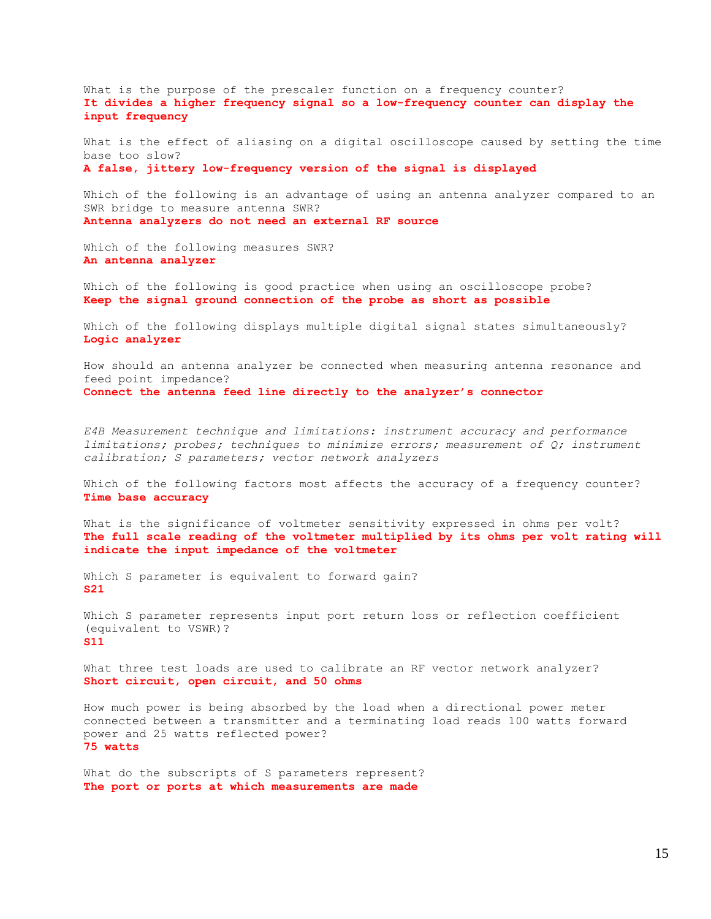What is the purpose of the prescaler function on a frequency counter? **It divides a higher frequency signal so a low-frequency counter can display the input frequency**

What is the effect of aliasing on a digital oscilloscope caused by setting the time base too slow? **A false, jittery low-frequency version of the signal is displayed**

Which of the following is an advantage of using an antenna analyzer compared to an SWR bridge to measure antenna SWR? **Antenna analyzers do not need an external RF source**

Which of the following measures SWR? **An antenna analyzer**

Which of the following is good practice when using an oscilloscope probe? **Keep the signal ground connection of the probe as short as possible**

Which of the following displays multiple digital signal states simultaneously? **Logic analyzer**

How should an antenna analyzer be connected when measuring antenna resonance and feed point impedance? **Connect the antenna feed line directly to the analyzer's connector**

*E4B Measurement technique and limitations: instrument accuracy and performance limitations; probes; techniques to minimize errors; measurement of Q; instrument calibration; S parameters; vector network analyzers*

Which of the following factors most affects the accuracy of a frequency counter? **Time base accuracy**

What is the significance of voltmeter sensitivity expressed in ohms per volt? **The full scale reading of the voltmeter multiplied by its ohms per volt rating will indicate the input impedance of the voltmeter**

Which S parameter is equivalent to forward gain? **S21**

Which S parameter represents input port return loss or reflection coefficient (equivalent to VSWR)? **S11**

What three test loads are used to calibrate an RF vector network analyzer? **Short circuit, open circuit, and 50 ohms**

How much power is being absorbed by the load when a directional power meter connected between a transmitter and a terminating load reads 100 watts forward power and 25 watts reflected power? **75 watts**

What do the subscripts of S parameters represent? **The port or ports at which measurements are made**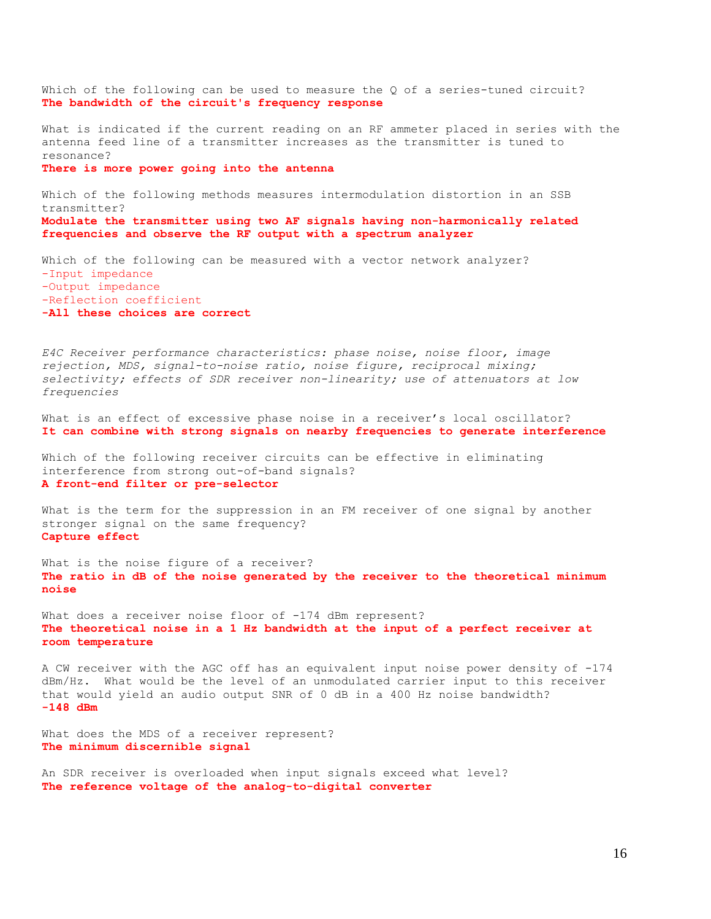Which of the following can be used to measure the Q of a series-tuned circuit? **The bandwidth of the circuit's frequency response**

What is indicated if the current reading on an RF ammeter placed in series with the antenna feed line of a transmitter increases as the transmitter is tuned to resonance? **There is more power going into the antenna**

Which of the following methods measures intermodulation distortion in an SSB transmitter? **Modulate the transmitter using two AF signals having non-harmonically related frequencies and observe the RF output with a spectrum analyzer**

Which of the following can be measured with a vector network analyzer? -Input impedance -Output impedance -Reflection coefficient **-All these choices are correct**

*E4C Receiver performance characteristics: phase noise, noise floor, image rejection, MDS, signal-to-noise ratio, noise figure, reciprocal mixing; selectivity; effects of SDR receiver non-linearity; use of attenuators at low frequencies*

What is an effect of excessive phase noise in a receiver's local oscillator? **It can combine with strong signals on nearby frequencies to generate interference**

Which of the following receiver circuits can be effective in eliminating interference from strong out-of-band signals? **A front-end filter or pre-selector**

What is the term for the suppression in an FM receiver of one signal by another stronger signal on the same frequency? **Capture effect**

What is the noise figure of a receiver? **The ratio in dB of the noise generated by the receiver to the theoretical minimum noise**

What does a receiver noise floor of -174 dBm represent? **The theoretical noise in a 1 Hz bandwidth at the input of a perfect receiver at room temperature**

A CW receiver with the AGC off has an equivalent input noise power density of -174 dBm/Hz. What would be the level of an unmodulated carrier input to this receiver that would yield an audio output SNR of 0 dB in a 400 Hz noise bandwidth? **-148 dBm**

What does the MDS of a receiver represent? **The minimum discernible signal**

An SDR receiver is overloaded when input signals exceed what level? **The reference voltage of the analog-to-digital converter**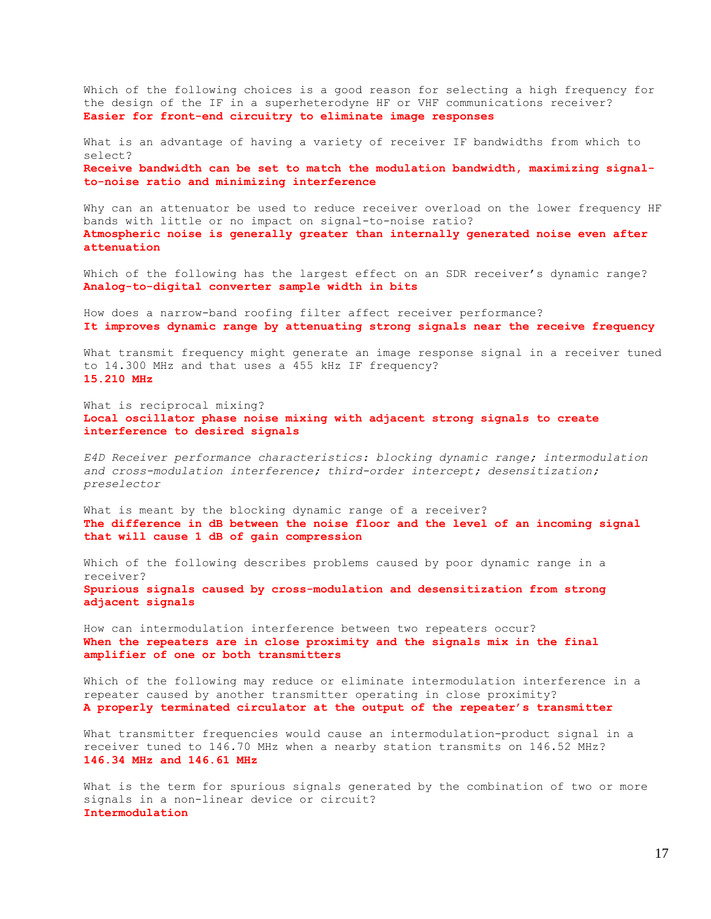Which of the following choices is a good reason for selecting a high frequency for the design of the IF in a superheterodyne HF or VHF communications receiver? **Easier for front-end circuitry to eliminate image responses**

What is an advantage of having a variety of receiver IF bandwidths from which to select? **Receive bandwidth can be set to match the modulation bandwidth, maximizing signalto-noise ratio and minimizing interference**

Why can an attenuator be used to reduce receiver overload on the lower frequency HF bands with little or no impact on signal-to-noise ratio? **Atmospheric noise is generally greater than internally generated noise even after attenuation**

Which of the following has the largest effect on an SDR receiver's dynamic range? **Analog-to-digital converter sample width in bits**

How does a narrow-band roofing filter affect receiver performance? **It improves dynamic range by attenuating strong signals near the receive frequency**

What transmit frequency might generate an image response signal in a receiver tuned to 14.300 MHz and that uses a 455 kHz IF frequency? **15.210 MHz**

What is reciprocal mixing? **Local oscillator phase noise mixing with adjacent strong signals to create interference to desired signals**

*E4D Receiver performance characteristics: blocking dynamic range; intermodulation and cross-modulation interference; third-order intercept; desensitization; preselector*

What is meant by the blocking dynamic range of a receiver? **The difference in dB between the noise floor and the level of an incoming signal that will cause 1 dB of gain compression**

Which of the following describes problems caused by poor dynamic range in a receiver? **Spurious signals caused by cross-modulation and desensitization from strong adjacent signals**

How can intermodulation interference between two repeaters occur? **When the repeaters are in close proximity and the signals mix in the final amplifier of one or both transmitters**

Which of the following may reduce or eliminate intermodulation interference in a repeater caused by another transmitter operating in close proximity? **A properly terminated circulator at the output of the repeater's transmitter**

What transmitter frequencies would cause an intermodulation-product signal in a receiver tuned to 146.70 MHz when a nearby station transmits on 146.52 MHz? **146.34 MHz and 146.61 MHz**

What is the term for spurious signals generated by the combination of two or more signals in a non-linear device or circuit? **Intermodulation**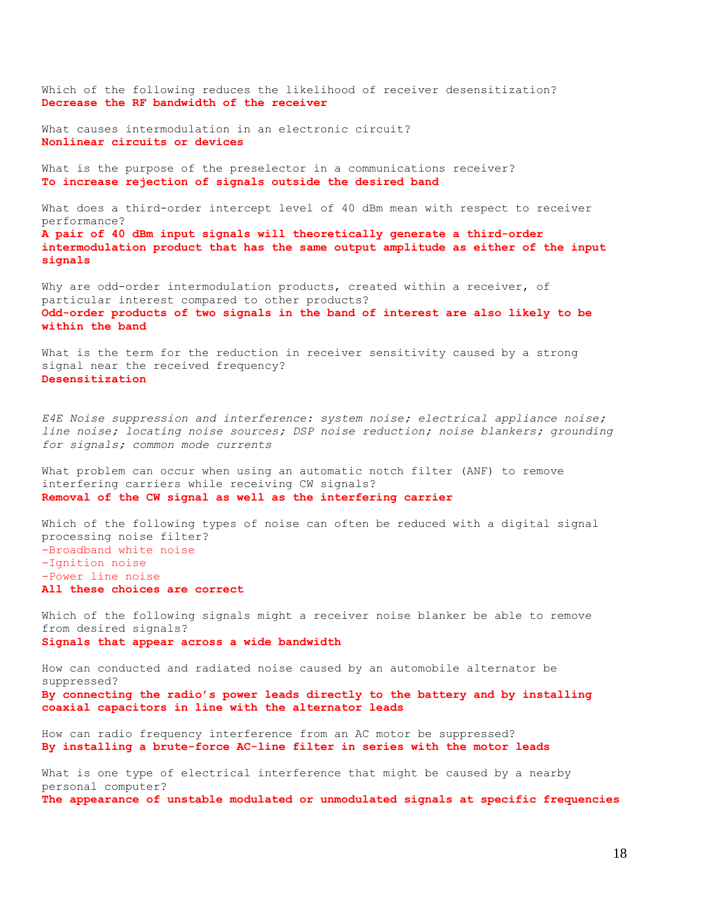Which of the following reduces the likelihood of receiver desensitization? **Decrease the RF bandwidth of the receiver**

What causes intermodulation in an electronic circuit? **Nonlinear circuits or devices**

What is the purpose of the preselector in a communications receiver? **To increase rejection of signals outside the desired band**

What does a third-order intercept level of 40 dBm mean with respect to receiver performance? **A pair of 40 dBm input signals will theoretically generate a third-order intermodulation product that has the same output amplitude as either of the input signals**

Why are odd-order intermodulation products, created within a receiver, of particular interest compared to other products? **Odd-order products of two signals in the band of interest are also likely to be within the band**

What is the term for the reduction in receiver sensitivity caused by a strong signal near the received frequency? **Desensitization**

*E4E Noise suppression and interference: system noise; electrical appliance noise; line noise; locating noise sources; DSP noise reduction; noise blankers; grounding for signals; common mode currents*

What problem can occur when using an automatic notch filter (ANF) to remove interfering carriers while receiving CW signals? **Removal of the CW signal as well as the interfering carrier**

Which of the following types of noise can often be reduced with a digital signal processing noise filter? -Broadband white noise -Ignition noise -Power line noise **All these choices are correct**

Which of the following signals might a receiver noise blanker be able to remove from desired signals? **Signals that appear across a wide bandwidth**

How can conducted and radiated noise caused by an automobile alternator be suppressed? **By connecting the radio's power leads directly to the battery and by installing coaxial capacitors in line with the alternator leads**

How can radio frequency interference from an AC motor be suppressed? **By installing a brute-force AC-line filter in series with the motor leads**

What is one type of electrical interference that might be caused by a nearby personal computer? **The appearance of unstable modulated or unmodulated signals at specific frequencies**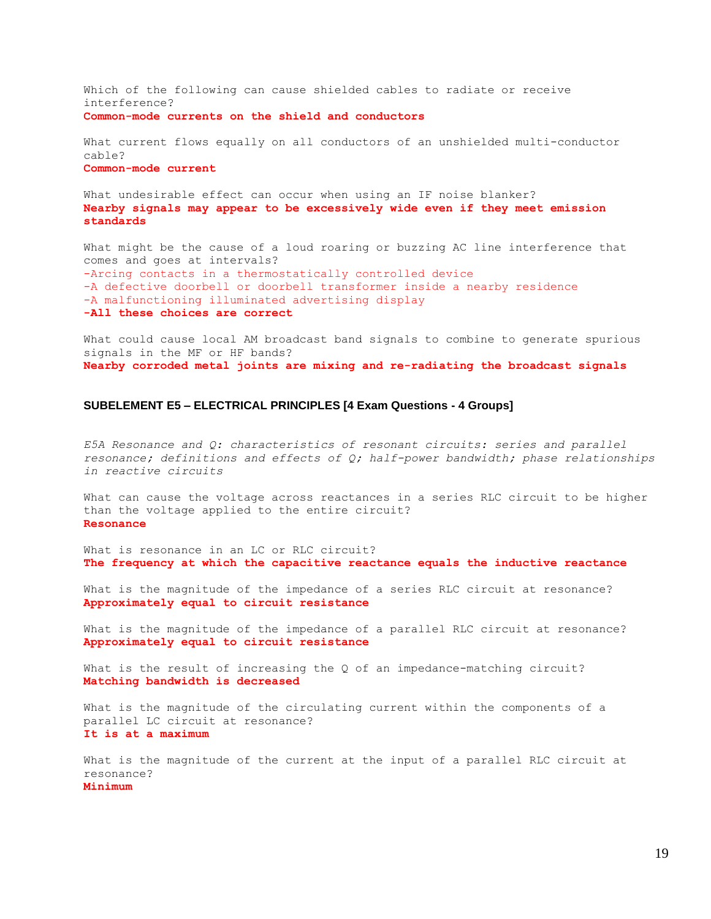Which of the following can cause shielded cables to radiate or receive interference? **Common-mode currents on the shield and conductors**

What current flows equally on all conductors of an unshielded multi-conductor cable? **Common-mode current**

What undesirable effect can occur when using an IF noise blanker? **Nearby signals may appear to be excessively wide even if they meet emission standards**

What might be the cause of a loud roaring or buzzing AC line interference that comes and goes at intervals? -Arcing contacts in a thermostatically controlled device -A defective doorbell or doorbell transformer inside a nearby residence -A malfunctioning illuminated advertising display **-All these choices are correct**

What could cause local AM broadcast band signals to combine to generate spurious signals in the MF or HF bands? **Nearby corroded metal joints are mixing and re-radiating the broadcast signals**

# **SUBELEMENT E5 – ELECTRICAL PRINCIPLES [4 Exam Questions - 4 Groups]**

*E5A Resonance and Q: characteristics of resonant circuits: series and parallel resonance; definitions and effects of Q; half-power bandwidth; phase relationships in reactive circuits*

What can cause the voltage across reactances in a series RLC circuit to be higher than the voltage applied to the entire circuit? **Resonance**

What is resonance in an LC or RLC circuit? **The frequency at which the capacitive reactance equals the inductive reactance**

What is the magnitude of the impedance of a series RLC circuit at resonance? **Approximately equal to circuit resistance**

What is the magnitude of the impedance of a parallel RLC circuit at resonance? **Approximately equal to circuit resistance**

What is the result of increasing the Q of an impedance-matching circuit? **Matching bandwidth is decreased**

What is the magnitude of the circulating current within the components of a parallel LC circuit at resonance? **It is at a maximum**

What is the magnitude of the current at the input of a parallel RLC circuit at resonance? **Minimum**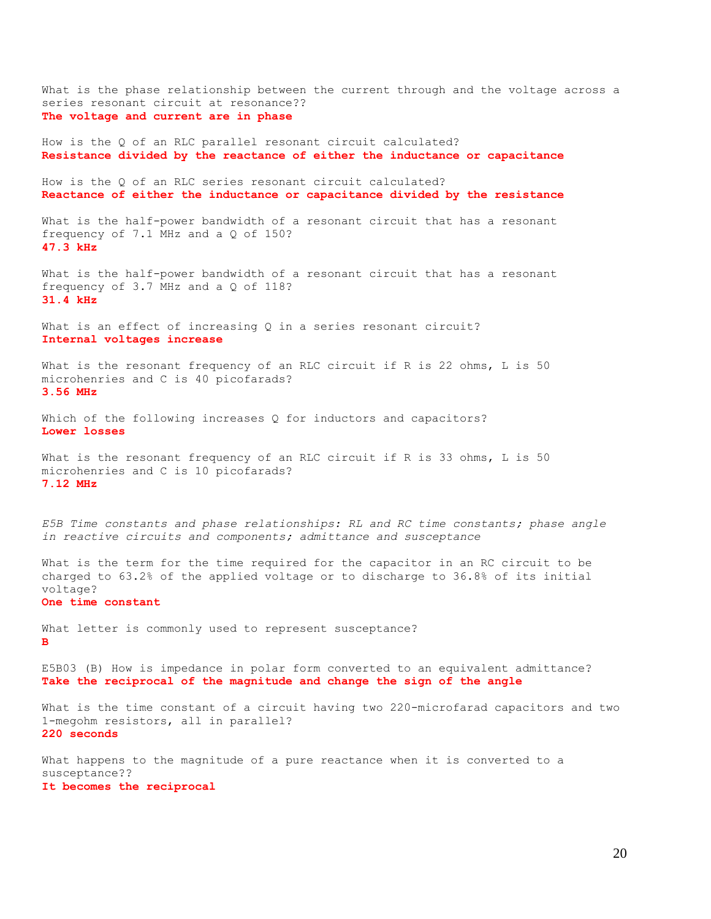What is the phase relationship between the current through and the voltage across a series resonant circuit at resonance?? **The voltage and current are in phase** How is the Q of an RLC parallel resonant circuit calculated? **Resistance divided by the reactance of either the inductance or capacitance**

How is the Q of an RLC series resonant circuit calculated? **Reactance of either the inductance or capacitance divided by the resistance**

What is the half-power bandwidth of a resonant circuit that has a resonant frequency of 7.1 MHz and a Q of 150? **47.3 kHz**

What is the half-power bandwidth of a resonant circuit that has a resonant frequency of 3.7 MHz and a Q of 118? **31.4 kHz**

What is an effect of increasing Q in a series resonant circuit? **Internal voltages increase**

What is the resonant frequency of an RLC circuit if R is 22 ohms, L is 50 microhenries and C is 40 picofarads? **3.56 MHz**

Which of the following increases Q for inductors and capacitors? **Lower losses**

What is the resonant frequency of an RLC circuit if R is 33 ohms, L is 50 microhenries and C is 10 picofarads? **7.12 MHz**

*E5B Time constants and phase relationships: RL and RC time constants; phase angle in reactive circuits and components; admittance and susceptance*

What is the term for the time required for the capacitor in an RC circuit to be charged to 63.2% of the applied voltage or to discharge to 36.8% of its initial voltage?

#### **One time constant**

What letter is commonly used to represent susceptance? **B**

E5B03 (B) How is impedance in polar form converted to an equivalent admittance? **Take the reciprocal of the magnitude and change the sign of the angle**

What is the time constant of a circuit having two 220-microfarad capacitors and two 1-megohm resistors, all in parallel? **220 seconds**

What happens to the magnitude of a pure reactance when it is converted to a susceptance?? **It becomes the reciprocal**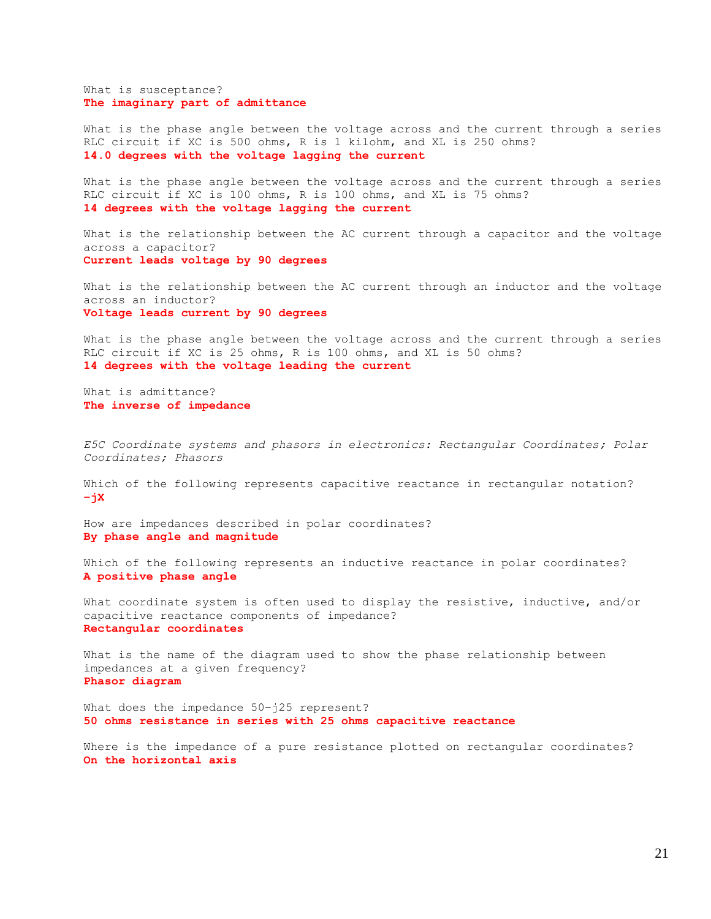What is susceptance? **The imaginary part of admittance**

What is the phase angle between the voltage across and the current through a series RLC circuit if XC is 500 ohms, R is 1 kilohm, and XL is 250 ohms? **14.0 degrees with the voltage lagging the current**

What is the phase angle between the voltage across and the current through a series RLC circuit if XC is 100 ohms, R is 100 ohms, and XL is 75 ohms? **14 degrees with the voltage lagging the current**

What is the relationship between the AC current through a capacitor and the voltage across a capacitor? **Current leads voltage by 90 degrees**

What is the relationship between the AC current through an inductor and the voltage across an inductor? **Voltage leads current by 90 degrees**

What is the phase angle between the voltage across and the current through a series RLC circuit if XC is 25 ohms, R is 100 ohms, and XL is 50 ohms? **14 degrees with the voltage leading the current**

What is admittance? **The inverse of impedance**

*E5C Coordinate systems and phasors in electronics: Rectangular Coordinates; Polar Coordinates; Phasors*

Which of the following represents capacitive reactance in rectangular notation? **–jX**

How are impedances described in polar coordinates? **By phase angle and magnitude**

Which of the following represents an inductive reactance in polar coordinates? **A positive phase angle**

What coordinate system is often used to display the resistive, inductive, and/or capacitive reactance components of impedance? **Rectangular coordinates**

What is the name of the diagram used to show the phase relationship between impedances at a given frequency? **Phasor diagram**

What does the impedance 50-j25 represent? **50 ohms resistance in series with 25 ohms capacitive reactance**

Where is the impedance of a pure resistance plotted on rectangular coordinates? **On the horizontal axis**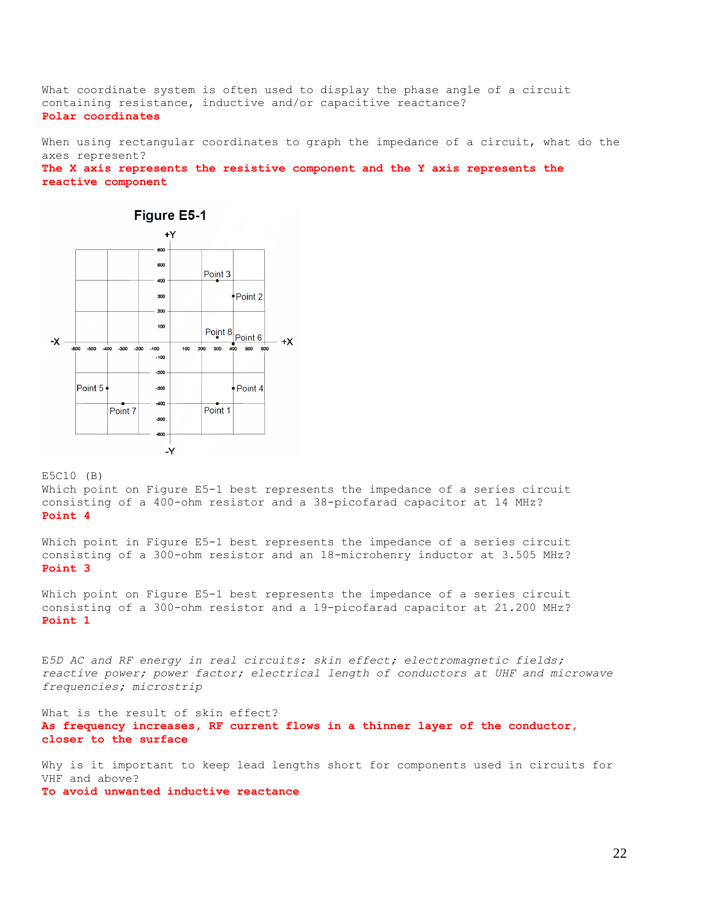What coordinate system is often used to display the phase angle of a circuit containing resistance, inductive and/or capacitive reactance? **Polar coordinates**

When using rectangular coordinates to graph the impedance of a circuit, what do the axes represent?

**The X axis represents the resistive component and the Y axis represents the reactive component**



E5C10 (B)

Which point on Figure E5-1 best represents the impedance of a series circuit consisting of a 400-ohm resistor and a 38-picofarad capacitor at 14 MHz? **Point 4**

Which point in Figure E5-1 best represents the impedance of a series circuit consisting of a 300-ohm resistor and an 18-microhenry inductor at 3.505 MHz? **Point 3**

Which point on Figure E5-1 best represents the impedance of a series circuit consisting of a 300-ohm resistor and a 19-picofarad capacitor at 21.200 MHz? **Point 1**

E*5D AC and RF energy in real circuits: skin effect; electromagnetic fields; reactive power; power factor; electrical length of conductors at UHF and microwave frequencies; microstrip*

What is the result of skin effect? **As frequency increases, RF current flows in a thinner layer of the conductor, closer to the surface**

Why is it important to keep lead lengths short for components used in circuits for VHF and above?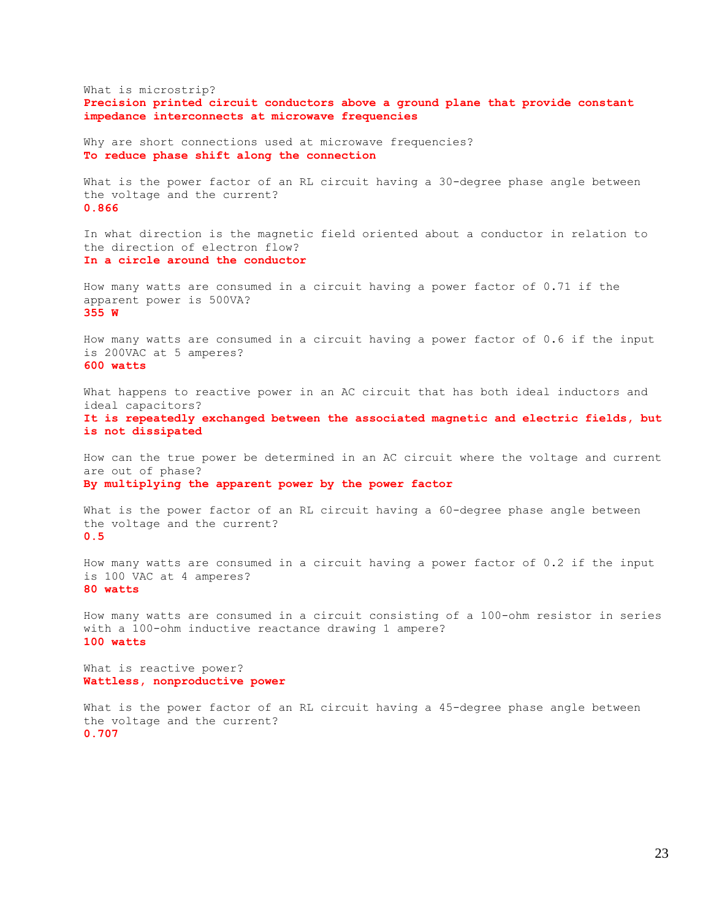What is microstrip? **Precision printed circuit conductors above a ground plane that provide constant impedance interconnects at microwave frequencies** Why are short connections used at microwave frequencies? **To reduce phase shift along the connection** What is the power factor of an RL circuit having a 30-degree phase angle between the voltage and the current? **0.866** In what direction is the magnetic field oriented about a conductor in relation to the direction of electron flow? **In a circle around the conductor** How many watts are consumed in a circuit having a power factor of 0.71 if the apparent power is 500VA? **355 W** How many watts are consumed in a circuit having a power factor of 0.6 if the input is 200VAC at 5 amperes? **600 watts** What happens to reactive power in an AC circuit that has both ideal inductors and ideal capacitors? **It is repeatedly exchanged between the associated magnetic and electric fields, but is not dissipated** How can the true power be determined in an AC circuit where the voltage and current are out of phase? **By multiplying the apparent power by the power factor** What is the power factor of an RL circuit having a 60-degree phase angle between the voltage and the current? **0.5** How many watts are consumed in a circuit having a power factor of 0.2 if the input is 100 VAC at 4 amperes? **80 watts** How many watts are consumed in a circuit consisting of a 100-ohm resistor in series with a 100-ohm inductive reactance drawing 1 ampere? **100 watts** What is reactive power? **Wattless, nonproductive power** What is the power factor of an RL circuit having a 45-degree phase angle between the voltage and the current? **0.707**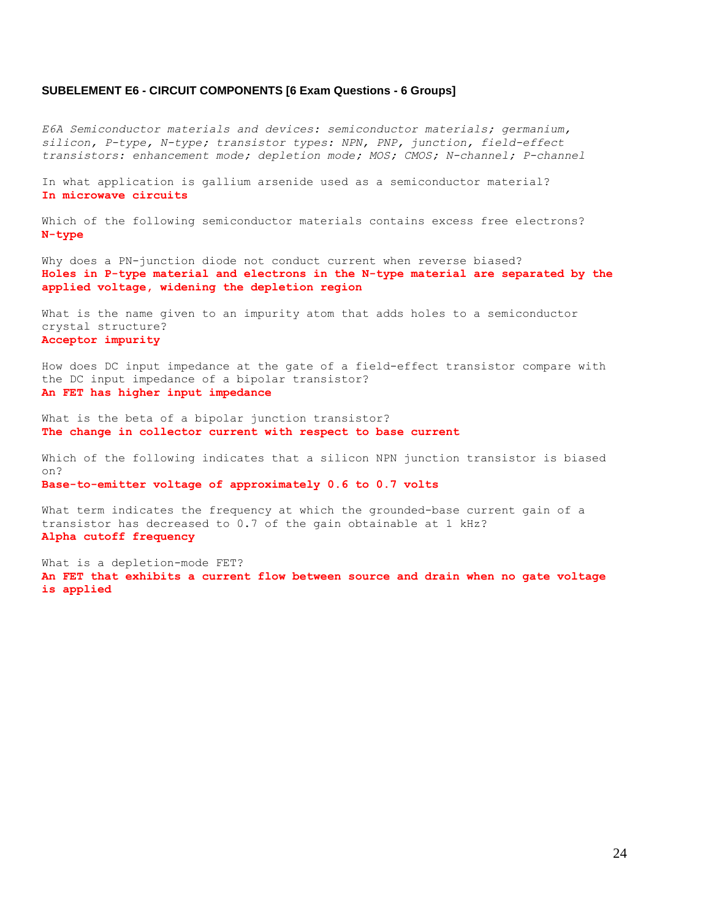#### **SUBELEMENT E6 - CIRCUIT COMPONENTS [6 Exam Questions - 6 Groups]**

*E6A Semiconductor materials and devices: semiconductor materials; germanium, silicon, P-type, N-type; transistor types: NPN, PNP, junction, field-effect transistors: enhancement mode; depletion mode; MOS; CMOS; N-channel; P-channel*

In what application is gallium arsenide used as a semiconductor material? **In microwave circuits**

Which of the following semiconductor materials contains excess free electrons? **N-type**

Why does a PN-junction diode not conduct current when reverse biased? **Holes in P-type material and electrons in the N-type material are separated by the applied voltage, widening the depletion region**

What is the name given to an impurity atom that adds holes to a semiconductor crystal structure? **Acceptor impurity**

How does DC input impedance at the gate of a field-effect transistor compare with the DC input impedance of a bipolar transistor? **An FET has higher input impedance**

What is the beta of a bipolar junction transistor? **The change in collector current with respect to base current**

Which of the following indicates that a silicon NPN junction transistor is biased on?

**Base-to-emitter voltage of approximately 0.6 to 0.7 volts**

What term indicates the frequency at which the grounded-base current gain of a transistor has decreased to 0.7 of the gain obtainable at 1 kHz? **Alpha cutoff frequency**

What is a depletion-mode FET? **An FET that exhibits a current flow between source and drain when no gate voltage is applied**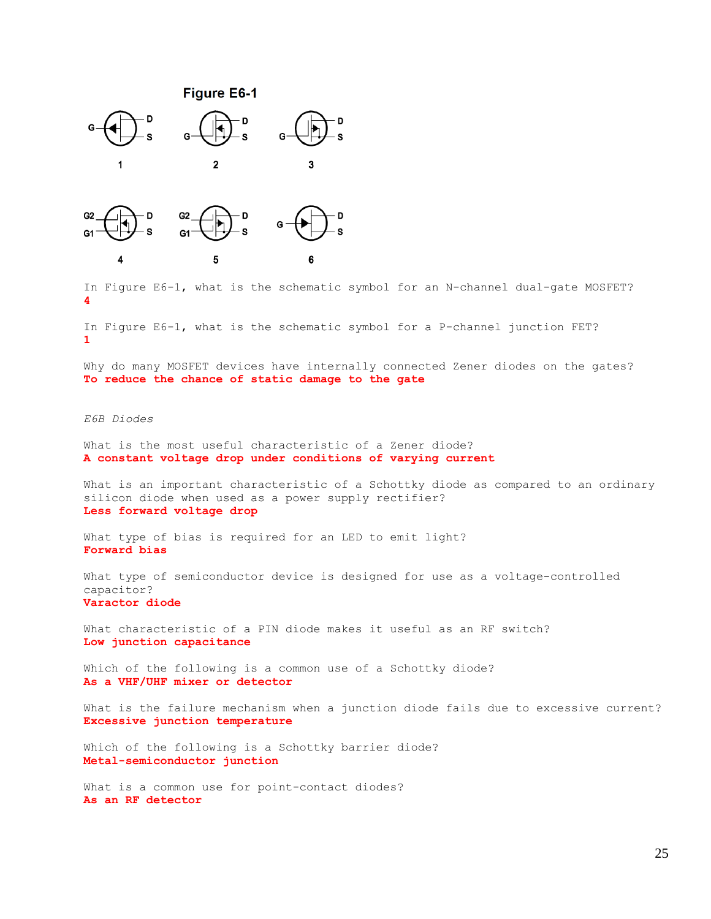

5

In Figure E6-1, what is the schematic symbol for an N-channel dual-gate MOSFET? **4**

In Figure E6-1, what is the schematic symbol for a P-channel junction FET? **1**

6

Why do many MOSFET devices have internally connected Zener diodes on the gates? **To reduce the chance of static damage to the gate**

#### *E6B Diodes*

4

What is the most useful characteristic of a Zener diode? **A constant voltage drop under conditions of varying current**

What is an important characteristic of a Schottky diode as compared to an ordinary silicon diode when used as a power supply rectifier? **Less forward voltage drop**

What type of bias is required for an LED to emit light? **Forward bias**

What type of semiconductor device is designed for use as a voltage-controlled capacitor? **Varactor diode**

What characteristic of a PIN diode makes it useful as an RF switch? **Low junction capacitance**

Which of the following is a common use of a Schottky diode? **As a VHF/UHF mixer or detector**

What is the failure mechanism when a junction diode fails due to excessive current? **Excessive junction temperature**

Which of the following is a Schottky barrier diode? **Metal-semiconductor junction**

What is a common use for point-contact diodes? **As an RF detector**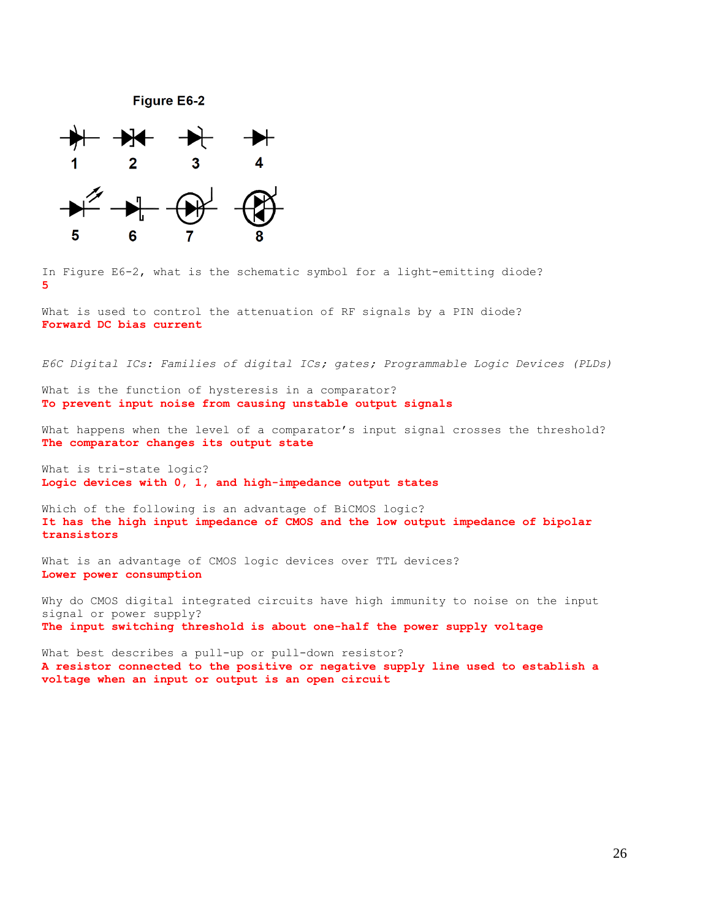**Figure E6-2** 



In Figure E6-2, what is the schematic symbol for a light-emitting diode? **5**

What is used to control the attenuation of RF signals by a PIN diode? **Forward DC bias current**

*E6C Digital ICs: Families of digital ICs; gates; Programmable Logic Devices (PLDs)*

What is the function of hysteresis in a comparator? **To prevent input noise from causing unstable output signals**

What happens when the level of a comparator's input signal crosses the threshold? **The comparator changes its output state**

What is tri-state logic? **Logic devices with 0, 1, and high-impedance output states**

Which of the following is an advantage of BiCMOS logic? **It has the high input impedance of CMOS and the low output impedance of bipolar transistors**

What is an advantage of CMOS logic devices over TTL devices? **Lower power consumption**

Why do CMOS digital integrated circuits have high immunity to noise on the input signal or power supply? **The input switching threshold is about one-half the power supply voltage**

What best describes a pull-up or pull-down resistor? **A resistor connected to the positive or negative supply line used to establish a voltage when an input or output is an open circuit**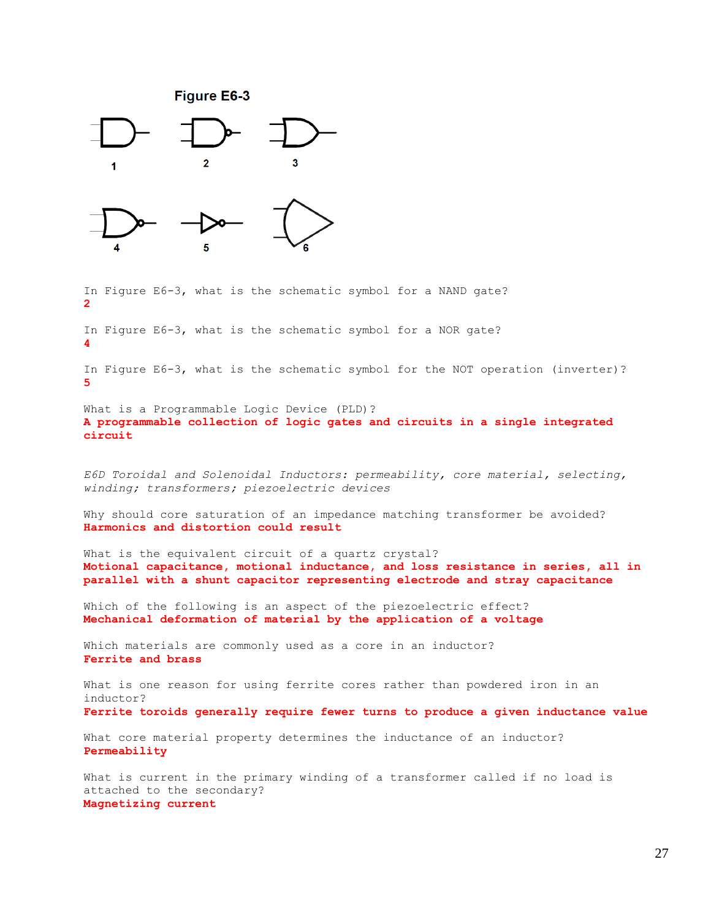

In Figure E6-3, what is the schematic symbol for a NAND gate? **2**

In Figure E6-3, what is the schematic symbol for a NOR gate? **4**

In Figure E6-3, what is the schematic symbol for the NOT operation (inverter)? **5**

What is a Programmable Logic Device (PLD)? **A programmable collection of logic gates and circuits in a single integrated circuit**

*E6D Toroidal and Solenoidal Inductors: permeability, core material, selecting, winding; transformers; piezoelectric devices*

Why should core saturation of an impedance matching transformer be avoided? **Harmonics and distortion could result**

What is the equivalent circuit of a quartz crystal? **Motional capacitance, motional inductance, and loss resistance in series, all in parallel with a shunt capacitor representing electrode and stray capacitance**

Which of the following is an aspect of the piezoelectric effect? **Mechanical deformation of material by the application of a voltage**

Which materials are commonly used as a core in an inductor? **Ferrite and brass**

What is one reason for using ferrite cores rather than powdered iron in an inductor? **Ferrite toroids generally require fewer turns to produce a given inductance value**

What core material property determines the inductance of an inductor? **Permeability**

What is current in the primary winding of a transformer called if no load is attached to the secondary? **Magnetizing current**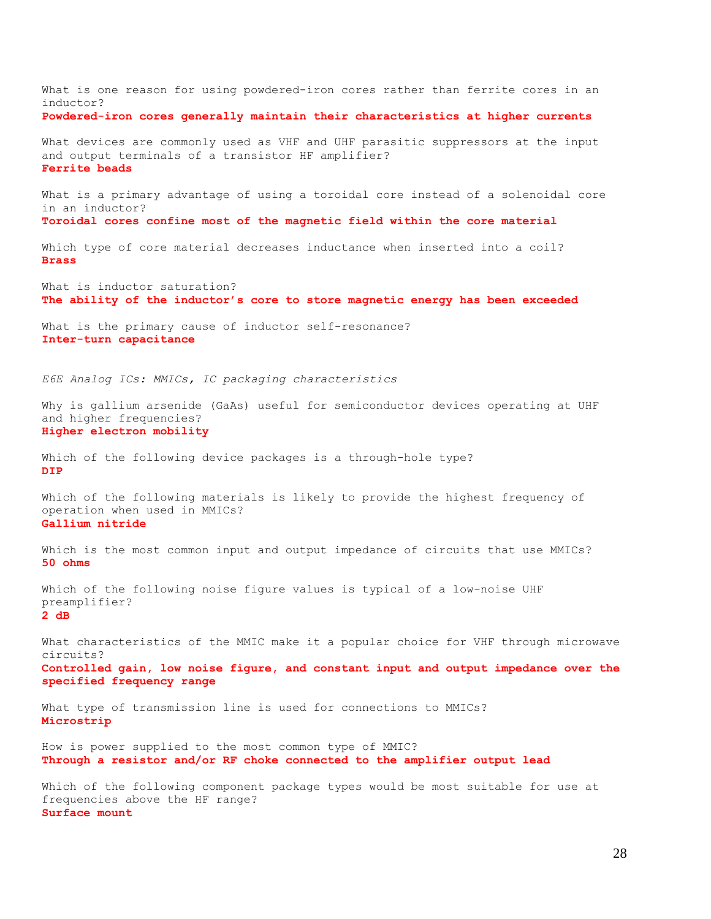What is one reason for using powdered-iron cores rather than ferrite cores in an inductor? **Powdered-iron cores generally maintain their characteristics at higher currents** What devices are commonly used as VHF and UHF parasitic suppressors at the input and output terminals of a transistor HF amplifier? **Ferrite beads** What is a primary advantage of using a toroidal core instead of a solenoidal core in an inductor? **Toroidal cores confine most of the magnetic field within the core material** Which type of core material decreases inductance when inserted into a coil? **Brass** What is inductor saturation? **The ability of the inductor's core to store magnetic energy has been exceeded** What is the primary cause of inductor self-resonance? **Inter-turn capacitance** *E6E Analog ICs: MMICs, IC packaging characteristics* Why is gallium arsenide (GaAs) useful for semiconductor devices operating at UHF and higher frequencies? **Higher electron mobility** Which of the following device packages is a through-hole type? **DIP** Which of the following materials is likely to provide the highest frequency of operation when used in MMICs? **Gallium nitride** Which is the most common input and output impedance of circuits that use MMICs? **50 ohms** Which of the following noise figure values is typical of a low-noise UHF preamplifier? **2 dB** What characteristics of the MMIC make it a popular choice for VHF through microwave circuits? **Controlled gain, low noise figure, and constant input and output impedance over the specified frequency range** What type of transmission line is used for connections to MMICs? **Microstrip** How is power supplied to the most common type of MMIC? **Through a resistor and/or RF choke connected to the amplifier output lead** Which of the following component package types would be most suitable for use at frequencies above the HF range?

**Surface mount**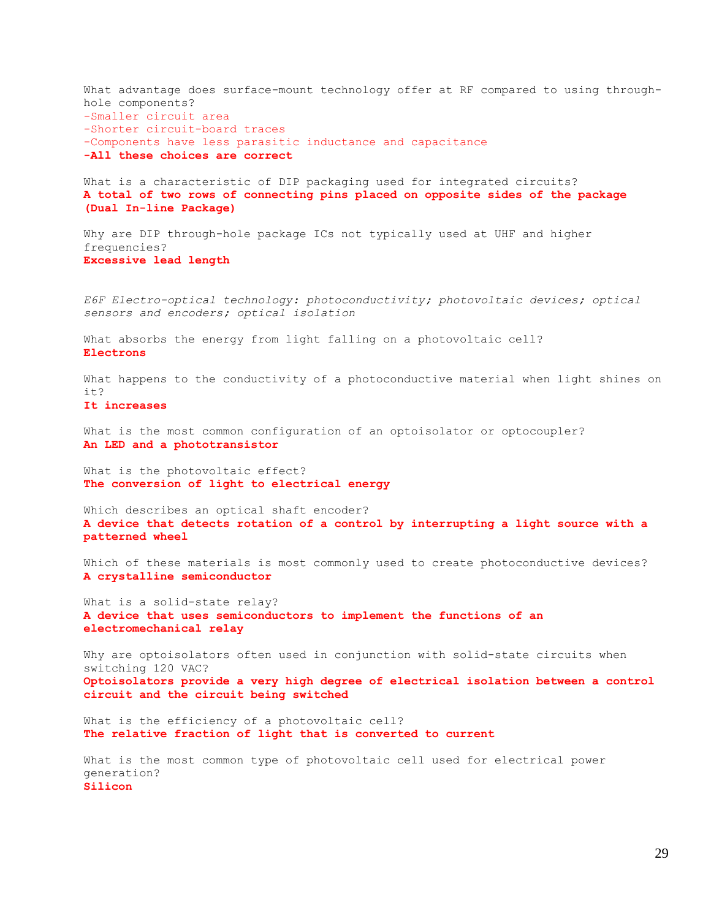What advantage does surface-mount technology offer at RF compared to using throughhole components? -Smaller circuit area -Shorter circuit-board traces -Components have less parasitic inductance and capacitance **-All these choices are correct** What is a characteristic of DIP packaging used for integrated circuits? **A total of two rows of connecting pins placed on opposite sides of the package (Dual In-line Package)** Why are DIP through-hole package ICs not typically used at UHF and higher frequencies? **Excessive lead length** *E6F Electro-optical technology: photoconductivity; photovoltaic devices; optical sensors and encoders; optical isolation* What absorbs the energy from light falling on a photovoltaic cell? **Electrons** What happens to the conductivity of a photoconductive material when light shines on  $i+2$ **It increases** What is the most common configuration of an optoisolator or optocoupler? **An LED and a phototransistor** What is the photovoltaic effect? **The conversion of light to electrical energy** Which describes an optical shaft encoder? **A device that detects rotation of a control by interrupting a light source with a patterned wheel** Which of these materials is most commonly used to create photoconductive devices? **A crystalline semiconductor** What is a solid-state relay? **A device that uses semiconductors to implement the functions of an electromechanical relay** Why are optoisolators often used in conjunction with solid-state circuits when switching 120 VAC? **Optoisolators provide a very high degree of electrical isolation between a control circuit and the circuit being switched** What is the efficiency of a photovoltaic cell? **The relative fraction of light that is converted to current** What is the most common type of photovoltaic cell used for electrical power generation? **Silicon**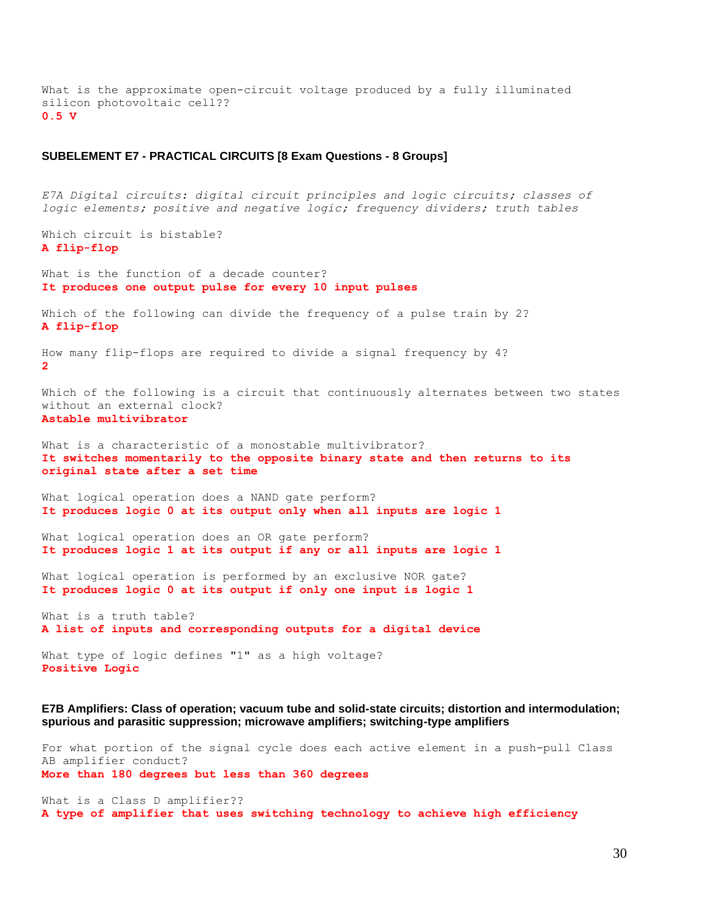What is the approximate open-circuit voltage produced by a fully illuminated silicon photovoltaic cell?? **0.5 V**

#### **SUBELEMENT E7 - PRACTICAL CIRCUITS [8 Exam Questions - 8 Groups]**

*E7A Digital circuits: digital circuit principles and logic circuits; classes of logic elements; positive and negative logic; frequency dividers; truth tables* Which circuit is bistable? **A flip-flop** What is the function of a decade counter? **It produces one output pulse for every 10 input pulses** Which of the following can divide the frequency of a pulse train by 2? **A flip-flop** How many flip-flops are required to divide a signal frequency by 4? **2** Which of the following is a circuit that continuously alternates between two states without an external clock? **Astable multivibrator** What is a characteristic of a monostable multivibrator? **It switches momentarily to the opposite binary state and then returns to its original state after a set time** What logical operation does a NAND gate perform? **It produces logic 0 at its output only when all inputs are logic 1** What logical operation does an OR gate perform? **It produces logic 1 at its output if any or all inputs are logic 1** What logical operation is performed by an exclusive NOR gate? **It produces logic 0 at its output if only one input is logic 1** What is a truth table? **A list of inputs and corresponding outputs for a digital device** What type of logic defines "1" as a high voltage?

**E7B Amplifiers: Class of operation; vacuum tube and solid-state circuits; distortion and intermodulation; spurious and parasitic suppression; microwave amplifiers; switching-type amplifiers**

For what portion of the signal cycle does each active element in a push-pull Class AB amplifier conduct? **More than 180 degrees but less than 360 degrees**

What is a Class D amplifier?? **A type of amplifier that uses switching technology to achieve high efficiency**

**Positive Logic**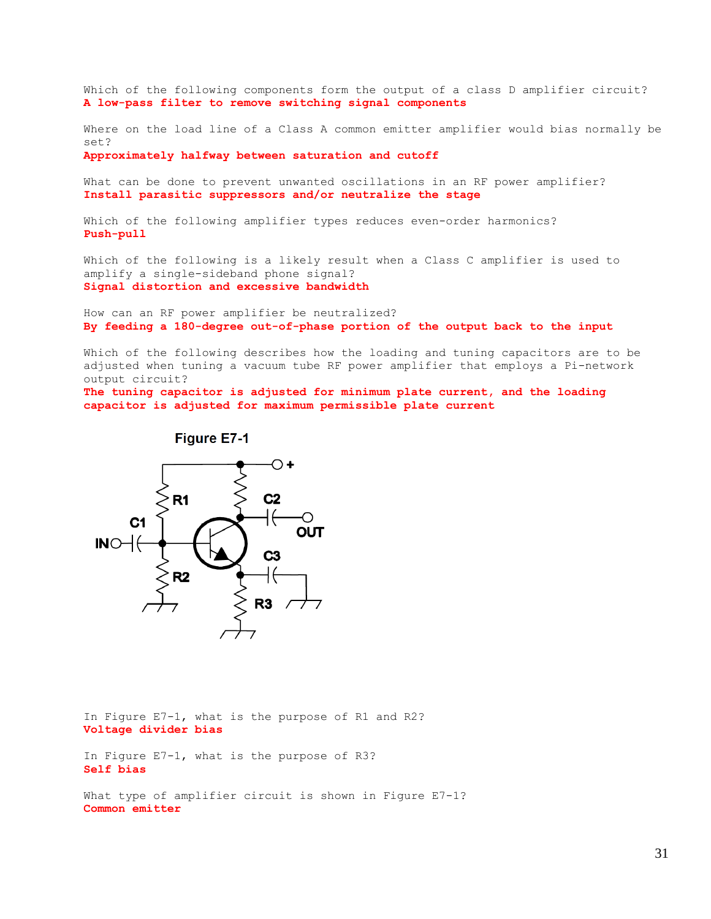Which of the following components form the output of a class D amplifier circuit? **A low-pass filter to remove switching signal components**

Where on the load line of a Class A common emitter amplifier would bias normally be set?

**Approximately halfway between saturation and cutoff**

What can be done to prevent unwanted oscillations in an RF power amplifier? **Install parasitic suppressors and/or neutralize the stage**

Which of the following amplifier types reduces even-order harmonics? **Push-pull**

Which of the following is a likely result when a Class C amplifier is used to amplify a single-sideband phone signal? **Signal distortion and excessive bandwidth**

How can an RF power amplifier be neutralized? **By feeding a 180-degree out-of-phase portion of the output back to the input**

Which of the following describes how the loading and tuning capacitors are to be adjusted when tuning a vacuum tube RF power amplifier that employs a Pi-network output circuit?

**The tuning capacitor is adjusted for minimum plate current, and the loading capacitor is adjusted for maximum permissible plate current**

**Figure E7-1** 



In Figure E7-1, what is the purpose of R1 and R2? **Voltage divider bias**

In Figure E7-1, what is the purpose of R3? **Self bias**

What type of amplifier circuit is shown in Figure E7-1? **Common emitter**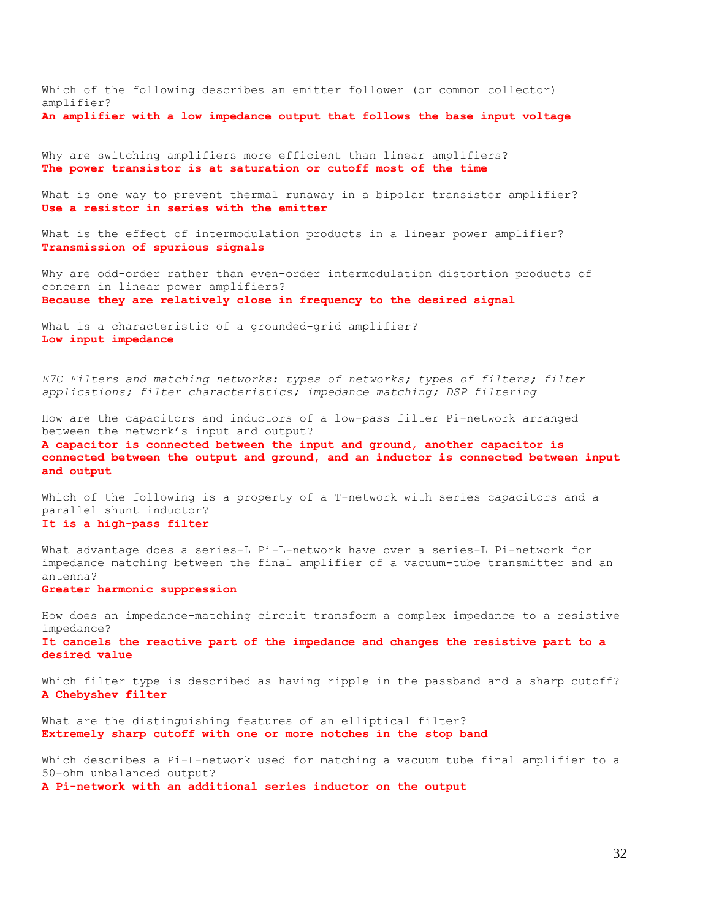Which of the following describes an emitter follower (or common collector) amplifier? **An amplifier with a low impedance output that follows the base input voltage**

Why are switching amplifiers more efficient than linear amplifiers? **The power transistor is at saturation or cutoff most of the time**

What is one way to prevent thermal runaway in a bipolar transistor amplifier? **Use a resistor in series with the emitter**

What is the effect of intermodulation products in a linear power amplifier? **Transmission of spurious signals**

Why are odd-order rather than even-order intermodulation distortion products of concern in linear power amplifiers? **Because they are relatively close in frequency to the desired signal**

What is a characteristic of a grounded-grid amplifier? **Low input impedance**

*E7C Filters and matching networks: types of networks; types of filters; filter applications; filter characteristics; impedance matching; DSP filtering*

How are the capacitors and inductors of a low-pass filter Pi-network arranged between the network's input and output? **A capacitor is connected between the input and ground, another capacitor is connected between the output and ground, and an inductor is connected between input and output**

Which of the following is a property of a T-network with series capacitors and a parallel shunt inductor? **It is a high-pass filter**

What advantage does a series-L Pi-L-network have over a series-L Pi-network for impedance matching between the final amplifier of a vacuum-tube transmitter and an antenna? **Greater harmonic suppression**

How does an impedance-matching circuit transform a complex impedance to a resistive impedance? **It cancels the reactive part of the impedance and changes the resistive part to a desired value**

Which filter type is described as having ripple in the passband and a sharp cutoff? **A Chebyshev filter**

What are the distinguishing features of an elliptical filter? **Extremely sharp cutoff with one or more notches in the stop band**

Which describes a Pi-L-network used for matching a vacuum tube final amplifier to a 50-ohm unbalanced output? **A Pi-network with an additional series inductor on the output**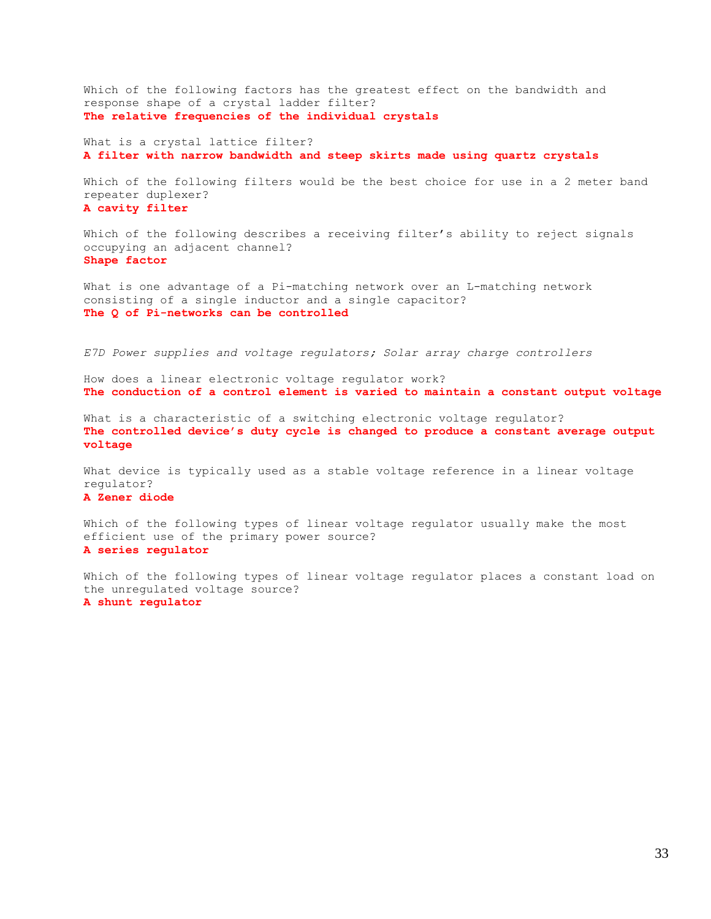Which of the following factors has the greatest effect on the bandwidth and response shape of a crystal ladder filter? **The relative frequencies of the individual crystals**

What is a crystal lattice filter? **A filter with narrow bandwidth and steep skirts made using quartz crystals**

Which of the following filters would be the best choice for use in a 2 meter band repeater duplexer? **A cavity filter**

Which of the following describes a receiving filter's ability to reject signals occupying an adjacent channel? **Shape factor**

What is one advantage of a Pi-matching network over an L-matching network consisting of a single inductor and a single capacitor? **The Q of Pi-networks can be controlled**

*E7D Power supplies and voltage regulators; Solar array charge controllers*

How does a linear electronic voltage regulator work? **The conduction of a control element is varied to maintain a constant output voltage**

What is a characteristic of a switching electronic voltage regulator? **The controlled device's duty cycle is changed to produce a constant average output voltage**

What device is typically used as a stable voltage reference in a linear voltage regulator? **A Zener diode**

Which of the following types of linear voltage regulator usually make the most efficient use of the primary power source? **A series regulator**

Which of the following types of linear voltage regulator places a constant load on the unregulated voltage source? **A shunt regulator**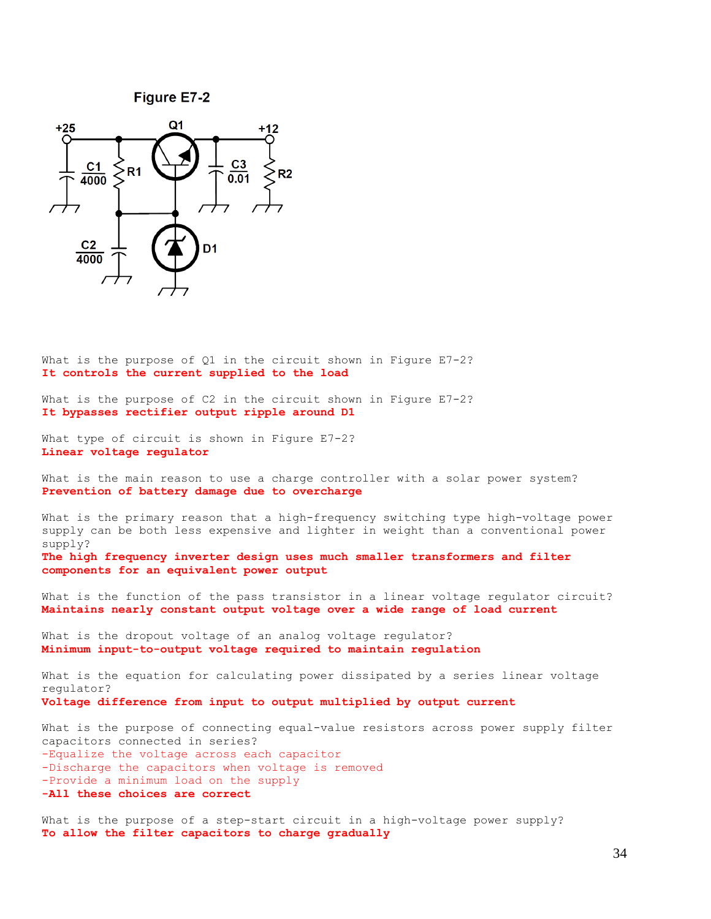**Figure E7-2** 



What is the purpose of Q1 in the circuit shown in Figure E7-2? **It controls the current supplied to the load**

What is the purpose of C2 in the circuit shown in Figure E7-2? **It bypasses rectifier output ripple around D1**

What type of circuit is shown in Figure E7-2? **Linear voltage regulator**

What is the main reason to use a charge controller with a solar power system? **Prevention of battery damage due to overcharge**

What is the primary reason that a high-frequency switching type high-voltage power supply can be both less expensive and lighter in weight than a conventional power supply? **The high frequency inverter design uses much smaller transformers and filter components for an equivalent power output**

What is the function of the pass transistor in a linear voltage regulator circuit? **Maintains nearly constant output voltage over a wide range of load current**

What is the dropout voltage of an analog voltage regulator? **Minimum input-to-output voltage required to maintain regulation**

What is the equation for calculating power dissipated by a series linear voltage regulator? **Voltage difference from input to output multiplied by output current**

What is the purpose of connecting equal-value resistors across power supply filter capacitors connected in series? -Equalize the voltage across each capacitor -Discharge the capacitors when voltage is removed -Provide a minimum load on the supply **-All these choices are correct**

What is the purpose of a step-start circuit in a high-voltage power supply? **To allow the filter capacitors to charge gradually**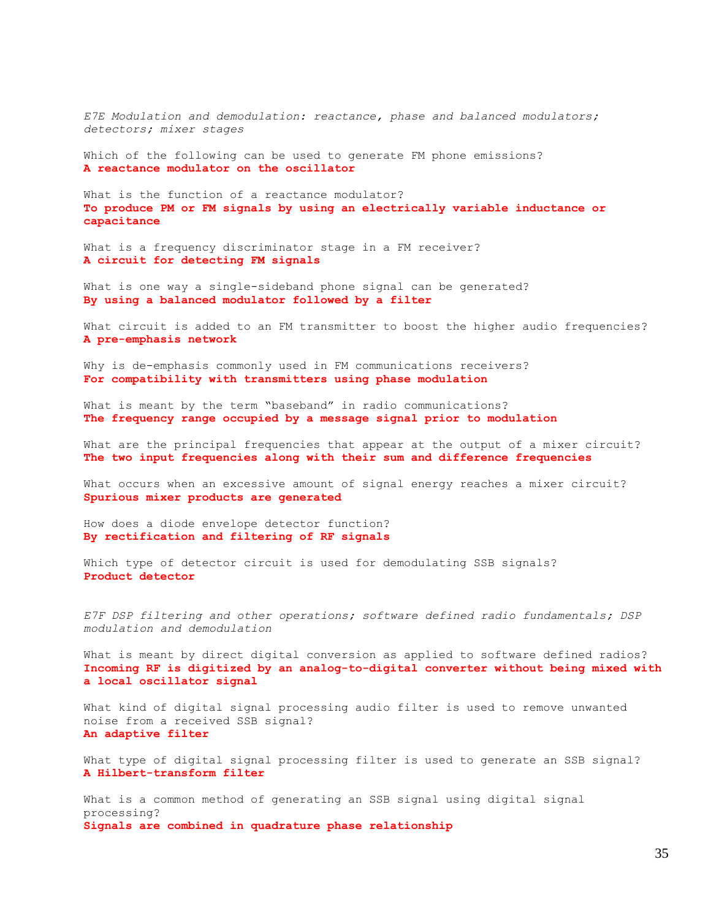*E7E Modulation and demodulation: reactance, phase and balanced modulators; detectors; mixer stages*

Which of the following can be used to generate FM phone emissions? **A reactance modulator on the oscillator**

What is the function of a reactance modulator? **To produce PM or FM signals by using an electrically variable inductance or capacitance**

What is a frequency discriminator stage in a FM receiver? **A circuit for detecting FM signals**

What is one way a single-sideband phone signal can be generated? **By using a balanced modulator followed by a filter**

What circuit is added to an FM transmitter to boost the higher audio frequencies? **A pre-emphasis network**

Why is de-emphasis commonly used in FM communications receivers? **For compatibility with transmitters using phase modulation**

What is meant by the term "baseband" in radio communications? **The frequency range occupied by a message signal prior to modulation**

What are the principal frequencies that appear at the output of a mixer circuit? **The two input frequencies along with their sum and difference frequencies**

What occurs when an excessive amount of signal energy reaches a mixer circuit? **Spurious mixer products are generated**

How does a diode envelope detector function? **By rectification and filtering of RF signals**

Which type of detector circuit is used for demodulating SSB signals? **Product detector**

*E7F DSP filtering and other operations; software defined radio fundamentals; DSP modulation and demodulation*

What is meant by direct digital conversion as applied to software defined radios? **Incoming RF is digitized by an analog-to-digital converter without being mixed with a local oscillator signal**

What kind of digital signal processing audio filter is used to remove unwanted noise from a received SSB signal? **An adaptive filter**

What type of digital signal processing filter is used to generate an SSB signal? **A Hilbert-transform filter**

What is a common method of generating an SSB signal using digital signal processing? **Signals are combined in quadrature phase relationship**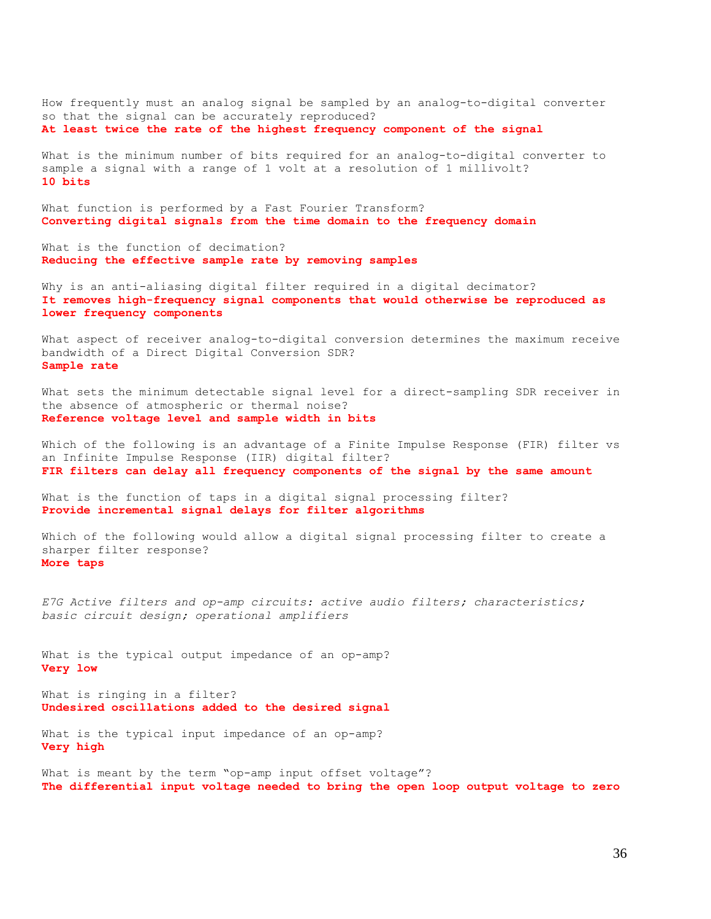How frequently must an analog signal be sampled by an analog-to-digital converter so that the signal can be accurately reproduced? **At least twice the rate of the highest frequency component of the signal**

What is the minimum number of bits required for an analog-to-digital converter to sample a signal with a range of 1 volt at a resolution of 1 millivolt? **10 bits**

What function is performed by a Fast Fourier Transform? **Converting digital signals from the time domain to the frequency domain**

What is the function of decimation? **Reducing the effective sample rate by removing samples**

Why is an anti-aliasing digital filter required in a digital decimator? **It removes high-frequency signal components that would otherwise be reproduced as lower frequency components**

What aspect of receiver analog-to-digital conversion determines the maximum receive bandwidth of a Direct Digital Conversion SDR? **Sample rate**

What sets the minimum detectable signal level for a direct-sampling SDR receiver in the absence of atmospheric or thermal noise? **Reference voltage level and sample width in bits**

Which of the following is an advantage of a Finite Impulse Response (FIR) filter vs an Infinite Impulse Response (IIR) digital filter? **FIR filters can delay all frequency components of the signal by the same amount**

What is the function of taps in a digital signal processing filter? **Provide incremental signal delays for filter algorithms**

Which of the following would allow a digital signal processing filter to create a sharper filter response? **More taps**

*E7G Active filters and op-amp circuits: active audio filters; characteristics; basic circuit design; operational amplifiers*

What is the typical output impedance of an op-amp? **Very low**

What is ringing in a filter? **Undesired oscillations added to the desired signal**

What is the typical input impedance of an op-amp? **Very high**

What is meant by the term "op-amp input offset voltage"? **The differential input voltage needed to bring the open loop output voltage to zero**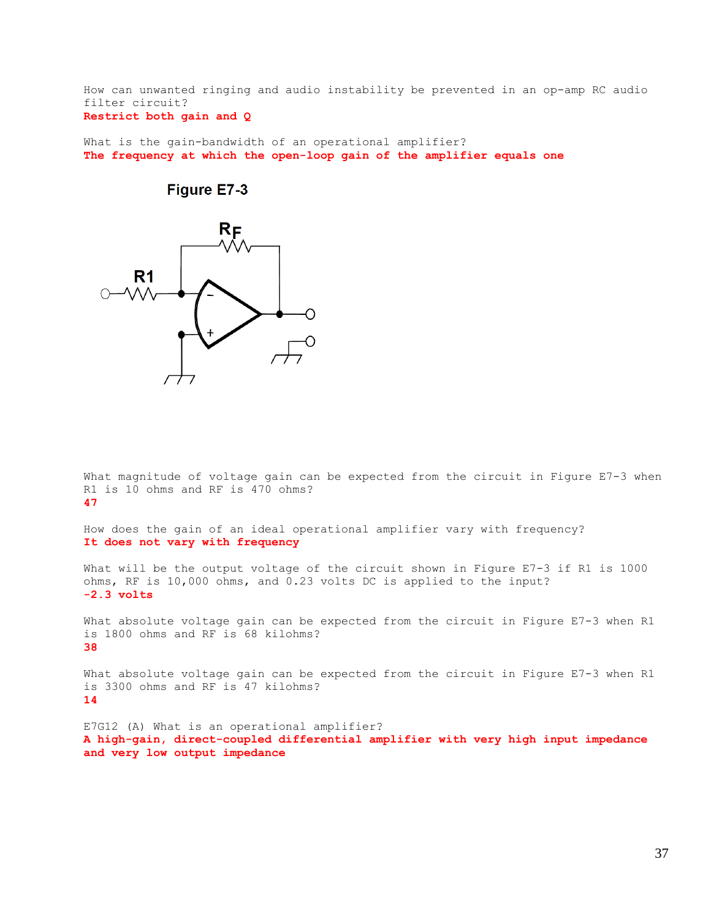How can unwanted ringing and audio instability be prevented in an op-amp RC audio filter circuit?

# **Restrict both gain and Q**

What is the gain-bandwidth of an operational amplifier? **The frequency at which the open-loop gain of the amplifier equals one**



# Figure E7-3

What magnitude of voltage gain can be expected from the circuit in Figure E7-3 when R1 is 10 ohms and RF is 470 ohms? **47**

How does the gain of an ideal operational amplifier vary with frequency? **It does not vary with frequency**

What will be the output voltage of the circuit shown in Figure E7-3 if R1 is 1000 ohms, RF is 10,000 ohms, and 0.23 volts DC is applied to the input? **-2.3 volts**

What absolute voltage gain can be expected from the circuit in Figure E7-3 when R1 is 1800 ohms and RF is 68 kilohms? **38**

What absolute voltage gain can be expected from the circuit in Figure E7-3 when R1 is 3300 ohms and RF is 47 kilohms? **14**

E7G12 (A) What is an operational amplifier? **A high-gain, direct-coupled differential amplifier with very high input impedance and very low output impedance**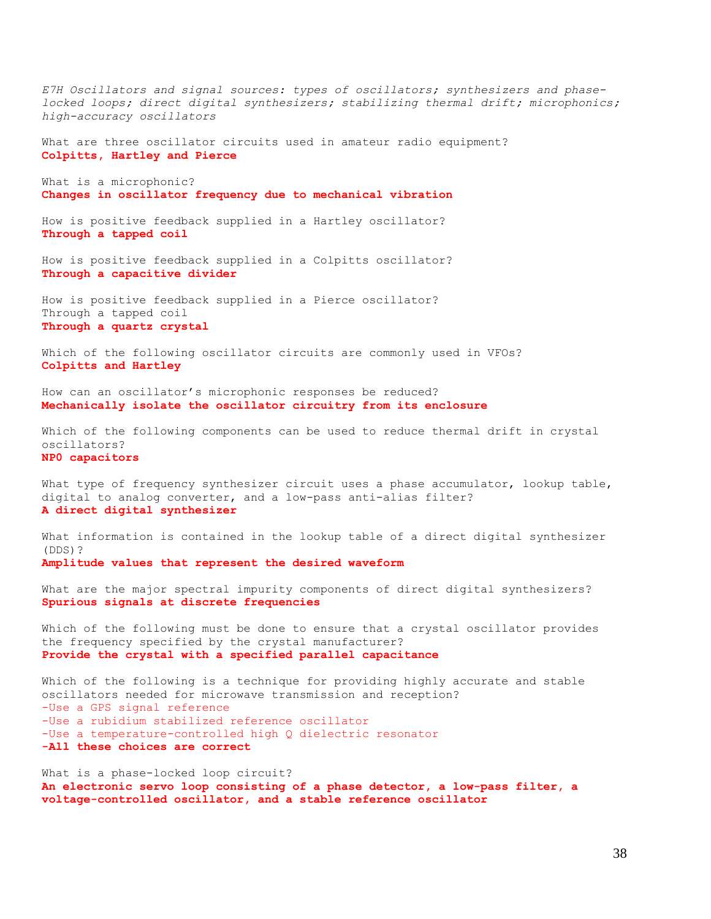*E7H Oscillators and signal sources: types of oscillators; synthesizers and phaselocked loops; direct digital synthesizers; stabilizing thermal drift; microphonics; high-accuracy oscillators* What are three oscillator circuits used in amateur radio equipment? **Colpitts, Hartley and Pierce** What is a microphonic? **Changes in oscillator frequency due to mechanical vibration** How is positive feedback supplied in a Hartley oscillator? **Through a tapped coil** How is positive feedback supplied in a Colpitts oscillator? **Through a capacitive divider** How is positive feedback supplied in a Pierce oscillator? Through a tapped coil **Through a quartz crystal** Which of the following oscillator circuits are commonly used in VFOs? **Colpitts and Hartley** How can an oscillator's microphonic responses be reduced? **Mechanically isolate the oscillator circuitry from its enclosure** Which of the following components can be used to reduce thermal drift in crystal oscillators? **NP0 capacitors** What type of frequency synthesizer circuit uses a phase accumulator, lookup table, digital to analog converter, and a low-pass anti-alias filter? **A direct digital synthesizer** What information is contained in the lookup table of a direct digital synthesizer (DDS)? **Amplitude values that represent the desired waveform** What are the major spectral impurity components of direct digital synthesizers? **Spurious signals at discrete frequencies** Which of the following must be done to ensure that a crystal oscillator provides the frequency specified by the crystal manufacturer? **Provide the crystal with a specified parallel capacitance** Which of the following is a technique for providing highly accurate and stable oscillators needed for microwave transmission and reception? -Use a GPS signal reference -Use a rubidium stabilized reference oscillator -Use a temperature-controlled high Q dielectric resonator **-All these choices are correct** What is a phase-locked loop circuit? **An electronic servo loop consisting of a phase detector, a low-pass filter, a voltage-controlled oscillator, and a stable reference oscillator**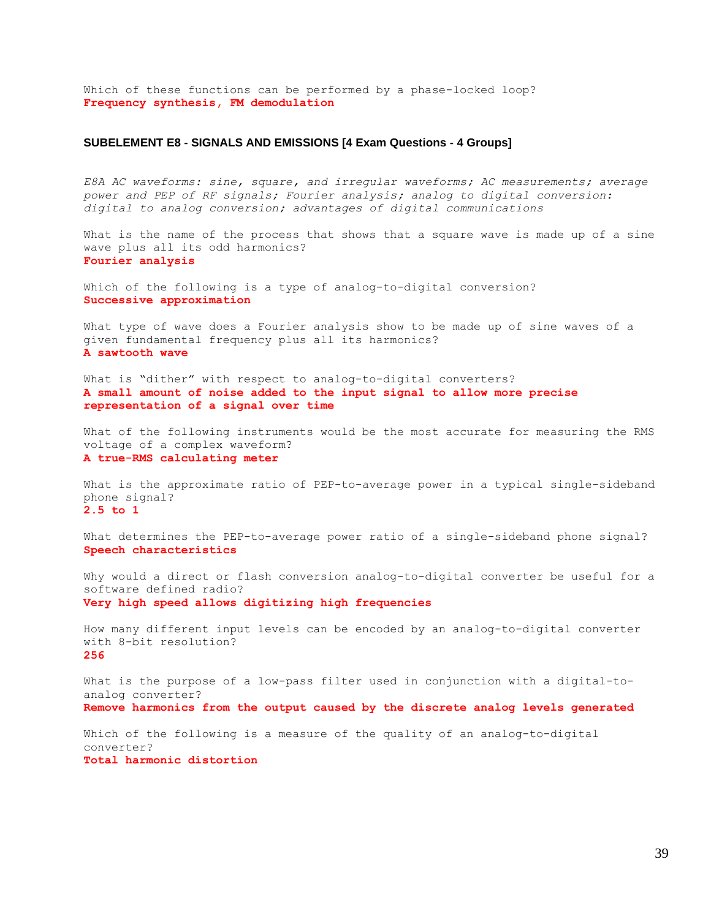Which of these functions can be performed by a phase-locked loop? **Frequency synthesis, FM demodulation**

### **SUBELEMENT E8 - SIGNALS AND EMISSIONS [4 Exam Questions - 4 Groups]**

*E8A AC waveforms: sine, square, and irregular waveforms; AC measurements; average power and PEP of RF signals; Fourier analysis; analog to digital conversion: digital to analog conversion; advantages of digital communications*

What is the name of the process that shows that a square wave is made up of a sine wave plus all its odd harmonics? **Fourier analysis**

Which of the following is a type of analog-to-digital conversion? **Successive approximation**

What type of wave does a Fourier analysis show to be made up of sine waves of a given fundamental frequency plus all its harmonics? **A sawtooth wave**

What is "dither" with respect to analog-to-digital converters? **A small amount of noise added to the input signal to allow more precise representation of a signal over time**

What of the following instruments would be the most accurate for measuring the RMS voltage of a complex waveform? **A true-RMS calculating meter**

What is the approximate ratio of PEP-to-average power in a typical single-sideband phone signal? **2.5 to 1**

What determines the PEP-to-average power ratio of a single-sideband phone signal? **Speech characteristics**

Why would a direct or flash conversion analog-to-digital converter be useful for a software defined radio? **Very high speed allows digitizing high frequencies**

How many different input levels can be encoded by an analog-to-digital converter with 8-bit resolution? **256**

What is the purpose of a low-pass filter used in conjunction with a digital-toanalog converter? **Remove harmonics from the output caused by the discrete analog levels generated**

Which of the following is a measure of the quality of an analog-to-digital converter? **Total harmonic distortion**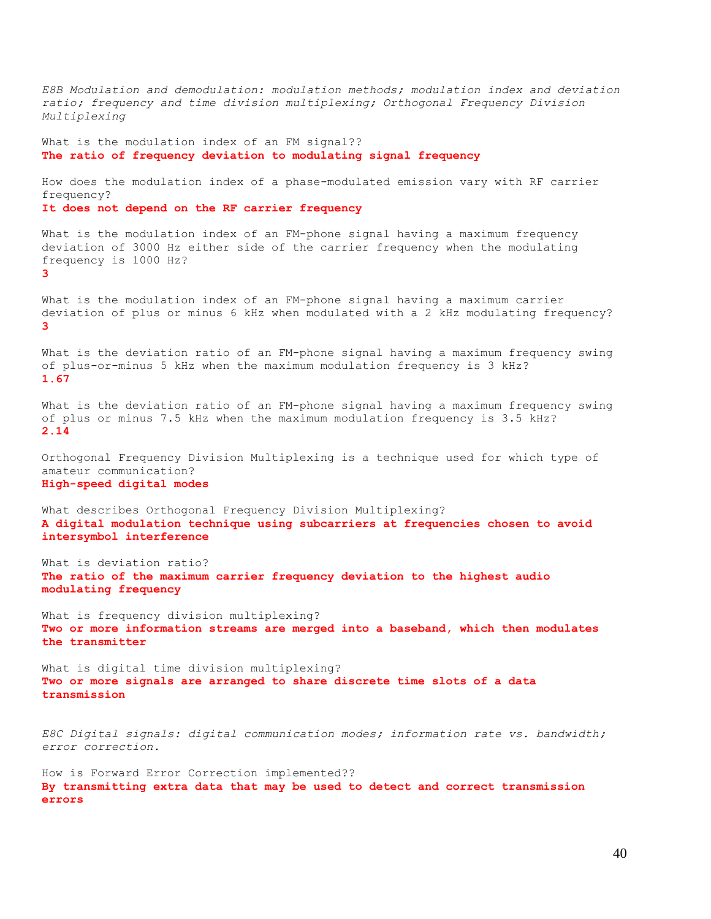*E8B Modulation and demodulation: modulation methods; modulation index and deviation ratio; frequency and time division multiplexing; Orthogonal Frequency Division Multiplexing* What is the modulation index of an FM signal?? **The ratio of frequency deviation to modulating signal frequency** How does the modulation index of a phase-modulated emission vary with RF carrier frequency? **It does not depend on the RF carrier frequency** What is the modulation index of an FM-phone signal having a maximum frequency deviation of 3000 Hz either side of the carrier frequency when the modulating frequency is 1000 Hz? **3** What is the modulation index of an FM-phone signal having a maximum carrier deviation of plus or minus 6 kHz when modulated with a 2 kHz modulating frequency? **3** What is the deviation ratio of an FM-phone signal having a maximum frequency swing of plus-or-minus 5 kHz when the maximum modulation frequency is 3 kHz? **1.67** What is the deviation ratio of an FM-phone signal having a maximum frequency swing of plus or minus 7.5 kHz when the maximum modulation frequency is 3.5 kHz? **2.14** Orthogonal Frequency Division Multiplexing is a technique used for which type of amateur communication? **High-speed digital modes** What describes Orthogonal Frequency Division Multiplexing? **A digital modulation technique using subcarriers at frequencies chosen to avoid intersymbol interference** What is deviation ratio? **The ratio of the maximum carrier frequency deviation to the highest audio modulating frequency** What is frequency division multiplexing? **Two or more information streams are merged into a baseband, which then modulates the transmitter** What is digital time division multiplexing? **Two or more signals are arranged to share discrete time slots of a data transmission** *E8C Digital signals: digital communication modes; information rate vs. bandwidth; error correction.* How is Forward Error Correction implemented?? **By transmitting extra data that may be used to detect and correct transmission errors**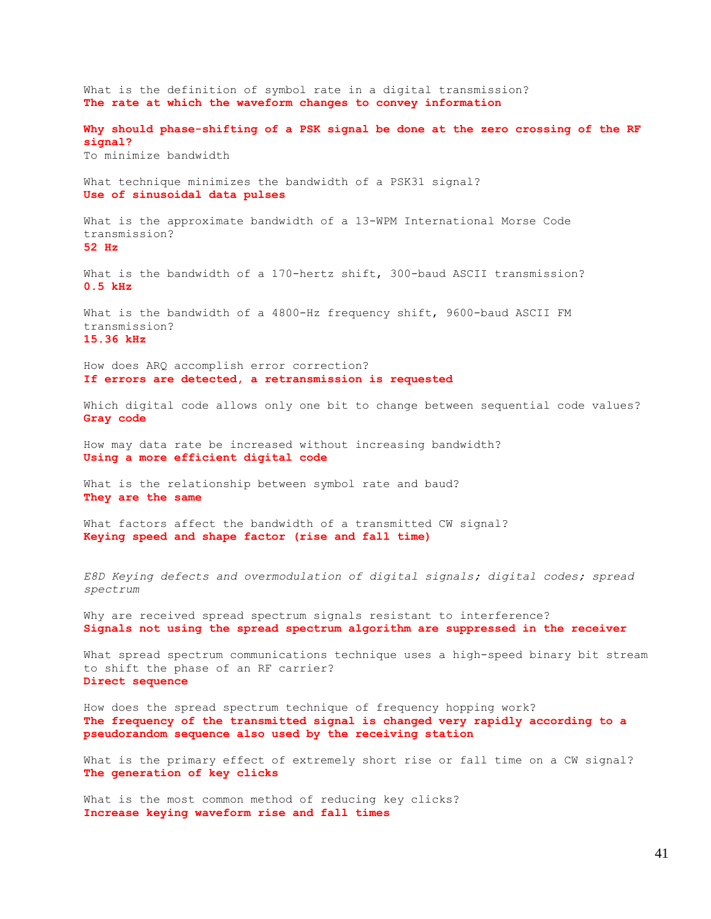What is the definition of symbol rate in a digital transmission? **The rate at which the waveform changes to convey information Why should phase-shifting of a PSK signal be done at the zero crossing of the RF signal?** To minimize bandwidth What technique minimizes the bandwidth of a PSK31 signal? **Use of sinusoidal data pulses** What is the approximate bandwidth of a 13-WPM International Morse Code transmission? **52 Hz** What is the bandwidth of a 170-hertz shift, 300-baud ASCII transmission? **0.5 kHz** What is the bandwidth of a 4800-Hz frequency shift, 9600-baud ASCII FM transmission? **15.36 kHz** How does ARQ accomplish error correction? **If errors are detected, a retransmission is requested** Which digital code allows only one bit to change between sequential code values? **Gray code** How may data rate be increased without increasing bandwidth? **Using a more efficient digital code** What is the relationship between symbol rate and baud? **They are the same** What factors affect the bandwidth of a transmitted CW signal? **Keying speed and shape factor (rise and fall time)** *E8D Keying defects and overmodulation of digital signals; digital codes; spread spectrum* Why are received spread spectrum signals resistant to interference? **Signals not using the spread spectrum algorithm are suppressed in the receiver** What spread spectrum communications technique uses a high-speed binary bit stream to shift the phase of an RF carrier? **Direct sequence** How does the spread spectrum technique of frequency hopping work? **The frequency of the transmitted signal is changed very rapidly according to a pseudorandom sequence also used by the receiving station** What is the primary effect of extremely short rise or fall time on a CW signal? **The generation of key clicks** What is the most common method of reducing key clicks? **Increase keying waveform rise and fall times**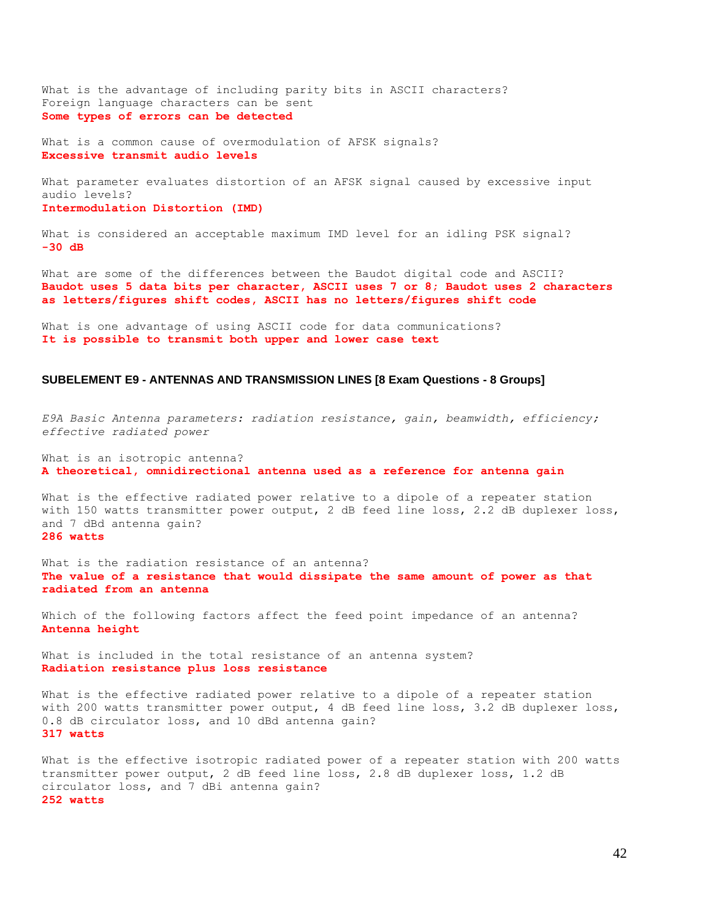What is the advantage of including parity bits in ASCII characters? Foreign language characters can be sent **Some types of errors can be detected**

What is a common cause of overmodulation of AFSK signals? **Excessive transmit audio levels**

What parameter evaluates distortion of an AFSK signal caused by excessive input audio levels? **Intermodulation Distortion (IMD)**

What is considered an acceptable maximum IMD level for an idling PSK signal? **-30 dB**

What are some of the differences between the Baudot digital code and ASCII? **Baudot uses 5 data bits per character, ASCII uses 7 or 8; Baudot uses 2 characters as letters/figures shift codes, ASCII has no letters/figures shift code**

What is one advantage of using ASCII code for data communications? **It is possible to transmit both upper and lower case text**

#### **SUBELEMENT E9 - ANTENNAS AND TRANSMISSION LINES [8 Exam Questions - 8 Groups]**

*E9A Basic Antenna parameters: radiation resistance, gain, beamwidth, efficiency; effective radiated power*

What is an isotropic antenna? **A theoretical, omnidirectional antenna used as a reference for antenna gain**

What is the effective radiated power relative to a dipole of a repeater station with 150 watts transmitter power output, 2 dB feed line loss, 2.2 dB duplexer loss, and 7 dBd antenna gain? **286 watts**

What is the radiation resistance of an antenna? **The value of a resistance that would dissipate the same amount of power as that radiated from an antenna**

Which of the following factors affect the feed point impedance of an antenna? **Antenna height**

What is included in the total resistance of an antenna system? **Radiation resistance plus loss resistance**

What is the effective radiated power relative to a dipole of a repeater station with 200 watts transmitter power output, 4 dB feed line loss, 3.2 dB duplexer loss, 0.8 dB circulator loss, and 10 dBd antenna gain? **317 watts**

What is the effective isotropic radiated power of a repeater station with 200 watts transmitter power output, 2 dB feed line loss, 2.8 dB duplexer loss, 1.2 dB circulator loss, and 7 dBi antenna gain? **252 watts**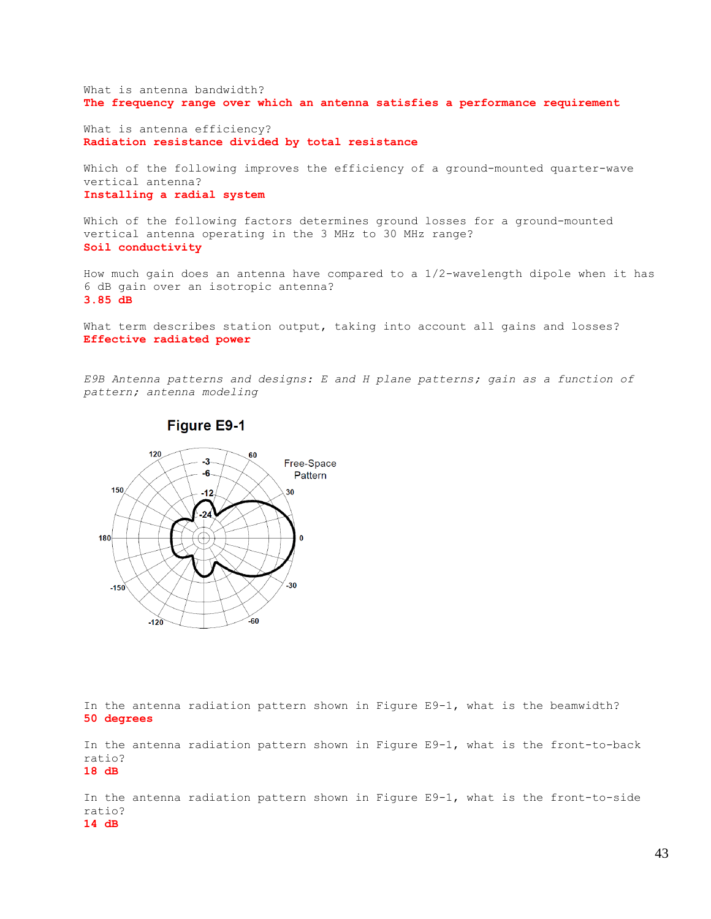What is antenna bandwidth? **The frequency range over which an antenna satisfies a performance requirement**

What is antenna efficiency? **Radiation resistance divided by total resistance**

Which of the following improves the efficiency of a ground-mounted quarter-wave vertical antenna? **Installing a radial system**

Which of the following factors determines ground losses for a ground-mounted vertical antenna operating in the 3 MHz to 30 MHz range? **Soil conductivity**

How much gain does an antenna have compared to a 1/2-wavelength dipole when it has 6 dB gain over an isotropic antenna? **3.85 dB**

What term describes station output, taking into account all gains and losses? **Effective radiated power**

*E9B Antenna patterns and designs: E and H plane patterns; gain as a function of pattern; antenna modeling*



**Figure E9-1** 

In the antenna radiation pattern shown in Figure E9-1, what is the beamwidth? **50 degrees**

In the antenna radiation pattern shown in Figure E9-1, what is the front-to-back ratio? **18 dB**

In the antenna radiation pattern shown in Figure E9-1, what is the front-to-side ratio?

#### **14 dB**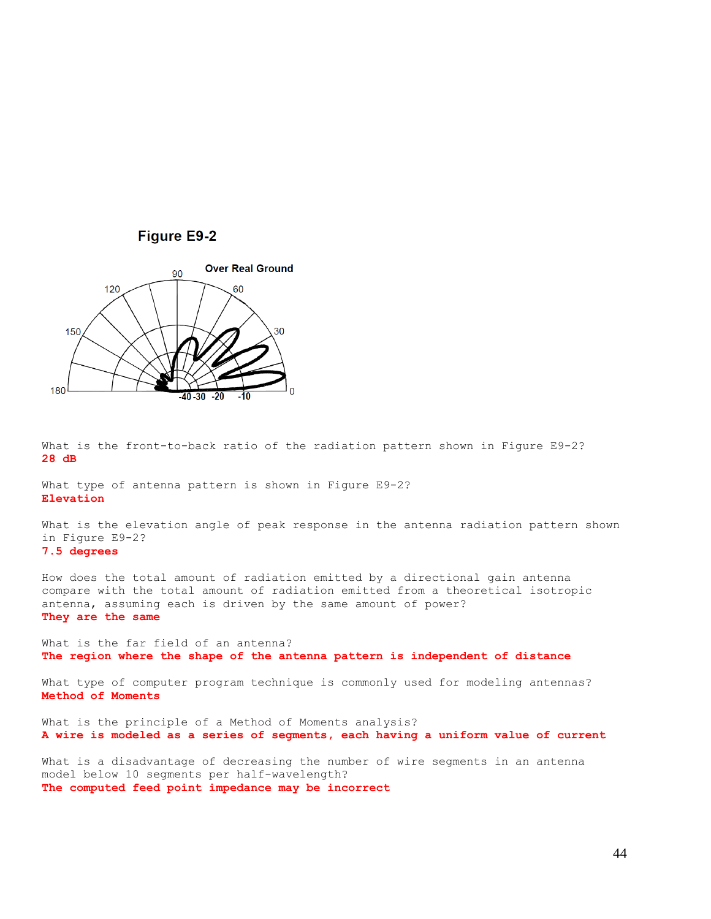



What is the front-to-back ratio of the radiation pattern shown in Figure E9-2? **28 dB**

What type of antenna pattern is shown in Figure E9-2? **Elevation**

What is the elevation angle of peak response in the antenna radiation pattern shown in Figure E9-2? **7.5 degrees**

How does the total amount of radiation emitted by a directional gain antenna compare with the total amount of radiation emitted from a theoretical isotropic antenna, assuming each is driven by the same amount of power? **They are the same**

What is the far field of an antenna? **The region where the shape of the antenna pattern is independent of distance**

What type of computer program technique is commonly used for modeling antennas? **Method of Moments**

What is the principle of a Method of Moments analysis? **A wire is modeled as a series of segments, each having a uniform value of current**

What is a disadvantage of decreasing the number of wire segments in an antenna model below 10 segments per half-wavelength? **The computed feed point impedance may be incorrect**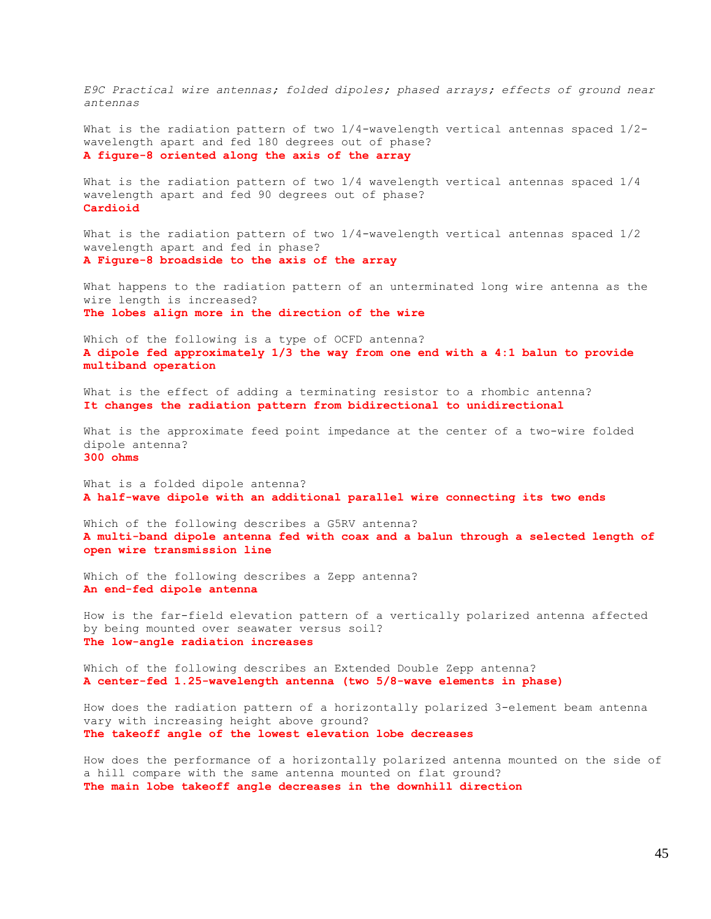*E9C Practical wire antennas; folded dipoles; phased arrays; effects of ground near antennas*

What is the radiation pattern of two 1/4-wavelength vertical antennas spaced 1/2 wavelength apart and fed 180 degrees out of phase? **A figure-8 oriented along the axis of the array**

What is the radiation pattern of two 1/4 wavelength vertical antennas spaced 1/4 wavelength apart and fed 90 degrees out of phase? **Cardioid**

What is the radiation pattern of two 1/4-wavelength vertical antennas spaced 1/2 wavelength apart and fed in phase? **A Figure-8 broadside to the axis of the array**

What happens to the radiation pattern of an unterminated long wire antenna as the wire length is increased? **The lobes align more in the direction of the wire**

Which of the following is a type of OCFD antenna? **A dipole fed approximately 1/3 the way from one end with a 4:1 balun to provide multiband operation**

What is the effect of adding a terminating resistor to a rhombic antenna? **It changes the radiation pattern from bidirectional to unidirectional**

What is the approximate feed point impedance at the center of a two-wire folded dipole antenna? **300 ohms**

What is a folded dipole antenna? **A half-wave dipole with an additional parallel wire connecting its two ends**

Which of the following describes a G5RV antenna? **A multi-band dipole antenna fed with coax and a balun through a selected length of open wire transmission line**

Which of the following describes a Zepp antenna? **An end-fed dipole antenna**

How is the far-field elevation pattern of a vertically polarized antenna affected by being mounted over seawater versus soil? **The low-angle radiation increases**

Which of the following describes an Extended Double Zepp antenna? **A center-fed 1.25-wavelength antenna (two 5/8-wave elements in phase)**

How does the radiation pattern of a horizontally polarized 3-element beam antenna vary with increasing height above ground? **The takeoff angle of the lowest elevation lobe decreases**

How does the performance of a horizontally polarized antenna mounted on the side of a hill compare with the same antenna mounted on flat ground? **The main lobe takeoff angle decreases in the downhill direction**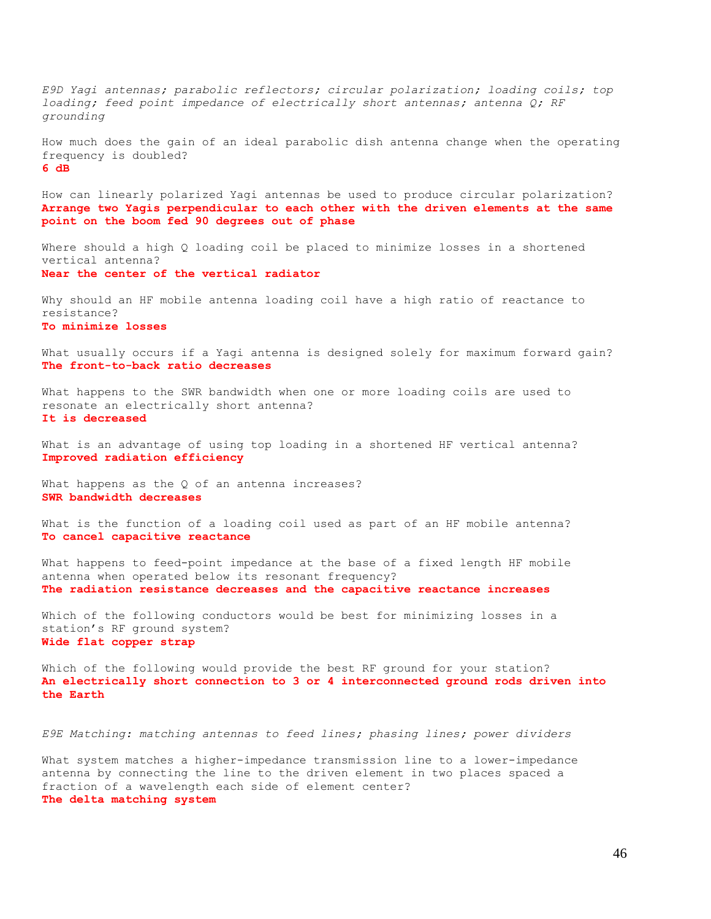*E9D Yagi antennas; parabolic reflectors; circular polarization; loading coils; top loading; feed point impedance of electrically short antennas; antenna Q; RF grounding*

How much does the gain of an ideal parabolic dish antenna change when the operating frequency is doubled? **6 dB**

How can linearly polarized Yagi antennas be used to produce circular polarization? **Arrange two Yagis perpendicular to each other with the driven elements at the same point on the boom fed 90 degrees out of phase**

Where should a high Q loading coil be placed to minimize losses in a shortened vertical antenna? **Near the center of the vertical radiator**

Why should an HF mobile antenna loading coil have a high ratio of reactance to resistance? **To minimize losses**

What usually occurs if a Yagi antenna is designed solely for maximum forward gain? **The front-to-back ratio decreases**

What happens to the SWR bandwidth when one or more loading coils are used to resonate an electrically short antenna? **It is decreased**

What is an advantage of using top loading in a shortened HF vertical antenna? **Improved radiation efficiency**

What happens as the Q of an antenna increases? **SWR bandwidth decreases**

What is the function of a loading coil used as part of an HF mobile antenna? **To cancel capacitive reactance**

What happens to feed-point impedance at the base of a fixed length HF mobile antenna when operated below its resonant frequency? **The radiation resistance decreases and the capacitive reactance increases**

Which of the following conductors would be best for minimizing losses in a station's RF ground system? **Wide flat copper strap**

Which of the following would provide the best RF ground for your station? **An electrically short connection to 3 or 4 interconnected ground rods driven into the Earth**

*E9E Matching: matching antennas to feed lines; phasing lines; power dividers*

What system matches a higher-impedance transmission line to a lower-impedance antenna by connecting the line to the driven element in two places spaced a fraction of a wavelength each side of element center? **The delta matching system**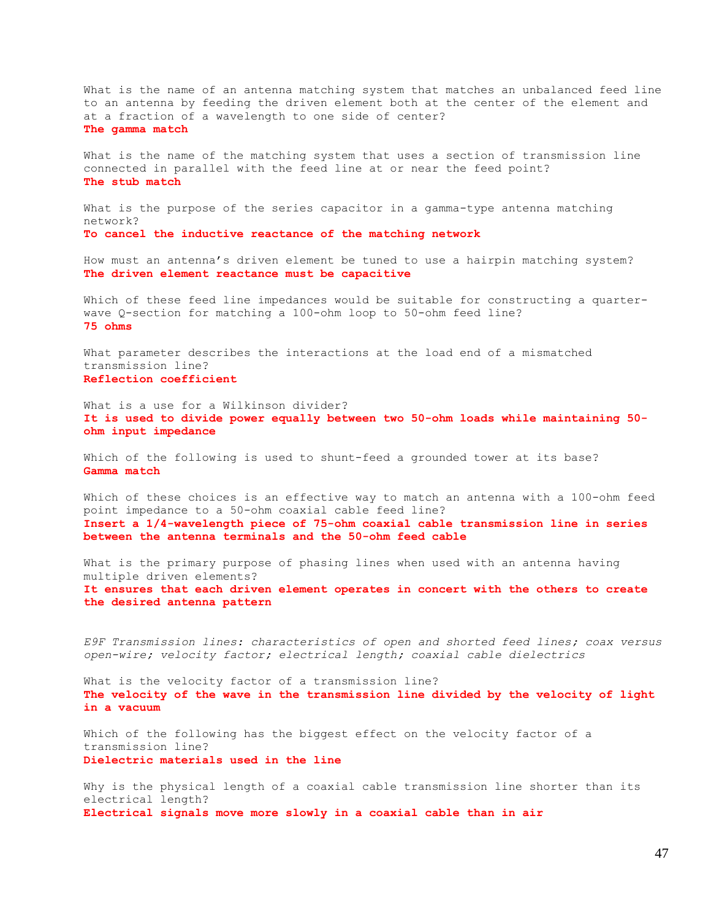What is the name of an antenna matching system that matches an unbalanced feed line to an antenna by feeding the driven element both at the center of the element and at a fraction of a wavelength to one side of center? **The gamma match**

What is the name of the matching system that uses a section of transmission line connected in parallel with the feed line at or near the feed point? **The stub match**

What is the purpose of the series capacitor in a gamma-type antenna matching network? **To cancel the inductive reactance of the matching network**

How must an antenna's driven element be tuned to use a hairpin matching system? **The driven element reactance must be capacitive**

Which of these feed line impedances would be suitable for constructing a quarterwave Q-section for matching a 100-ohm loop to 50-ohm feed line? **75 ohms**

What parameter describes the interactions at the load end of a mismatched transmission line? **Reflection coefficient**

What is a use for a Wilkinson divider? **It is used to divide power equally between two 50-ohm loads while maintaining 50 ohm input impedance**

Which of the following is used to shunt-feed a grounded tower at its base? **Gamma match**

Which of these choices is an effective way to match an antenna with a 100-ohm feed point impedance to a 50-ohm coaxial cable feed line? **Insert a 1/4-wavelength piece of 75-ohm coaxial cable transmission line in series between the antenna terminals and the 50-ohm feed cable**

What is the primary purpose of phasing lines when used with an antenna having multiple driven elements? **It ensures that each driven element operates in concert with the others to create the desired antenna pattern**

*E9F Transmission lines: characteristics of open and shorted feed lines; coax versus open-wire; velocity factor; electrical length; coaxial cable dielectrics*

What is the velocity factor of a transmission line? **The velocity of the wave in the transmission line divided by the velocity of light in a vacuum**

Which of the following has the biggest effect on the velocity factor of a transmission line? **Dielectric materials used in the line**

Why is the physical length of a coaxial cable transmission line shorter than its electrical length? **Electrical signals move more slowly in a coaxial cable than in air**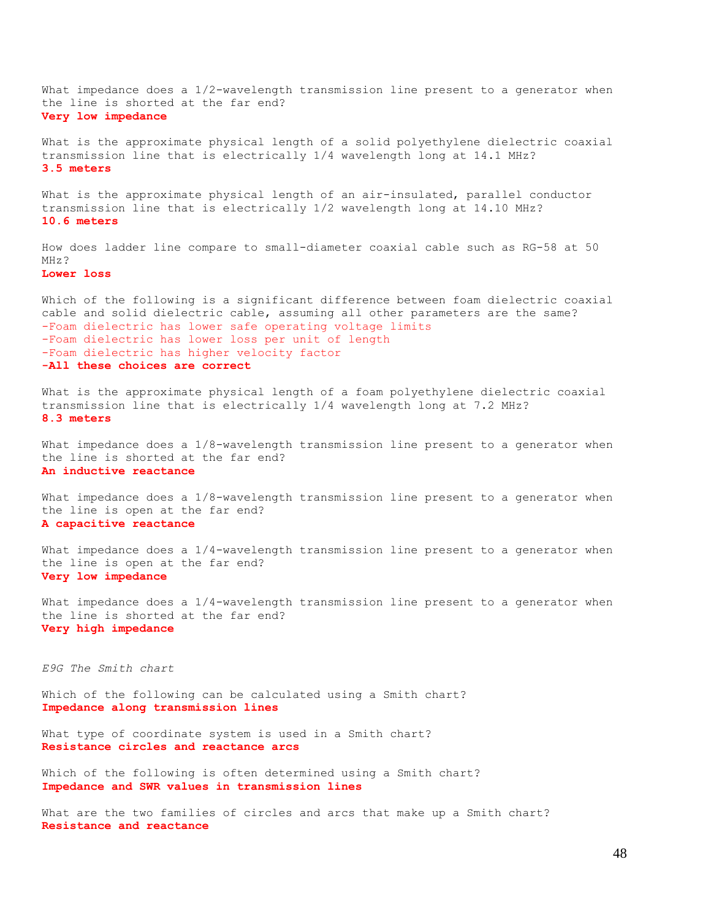What impedance does a 1/2-wavelength transmission line present to a generator when the line is shorted at the far end? **Very low impedance**

What is the approximate physical length of a solid polyethylene dielectric coaxial transmission line that is electrically 1/4 wavelength long at 14.1 MHz? **3.5 meters**

What is the approximate physical length of an air-insulated, parallel conductor transmission line that is electrically 1/2 wavelength long at 14.10 MHz? **10.6 meters**

How does ladder line compare to small-diameter coaxial cable such as RG-58 at 50 MHz?

**Lower loss**

Which of the following is a significant difference between foam dielectric coaxial cable and solid dielectric cable, assuming all other parameters are the same? -Foam dielectric has lower safe operating voltage limits -Foam dielectric has lower loss per unit of length -Foam dielectric has higher velocity factor **-All these choices are correct**

What is the approximate physical length of a foam polyethylene dielectric coaxial transmission line that is electrically 1/4 wavelength long at 7.2 MHz? **8.3 meters**

What impedance does a  $1/8$ -wavelength transmission line present to a generator when the line is shorted at the far end? **An inductive reactance**

What impedance does a  $1/8$ -wavelength transmission line present to a generator when the line is open at the far end? **A capacitive reactance**

What impedance does a  $1/4$ -wavelength transmission line present to a generator when the line is open at the far end? **Very low impedance**

What impedance does a 1/4-wavelength transmission line present to a generator when the line is shorted at the far end? **Very high impedance**

*E9G The Smith chart*

Which of the following can be calculated using a Smith chart? **Impedance along transmission lines**

What type of coordinate system is used in a Smith chart? **Resistance circles and reactance arcs**

Which of the following is often determined using a Smith chart? **Impedance and SWR values in transmission lines**

What are the two families of circles and arcs that make up a Smith chart? **Resistance and reactance**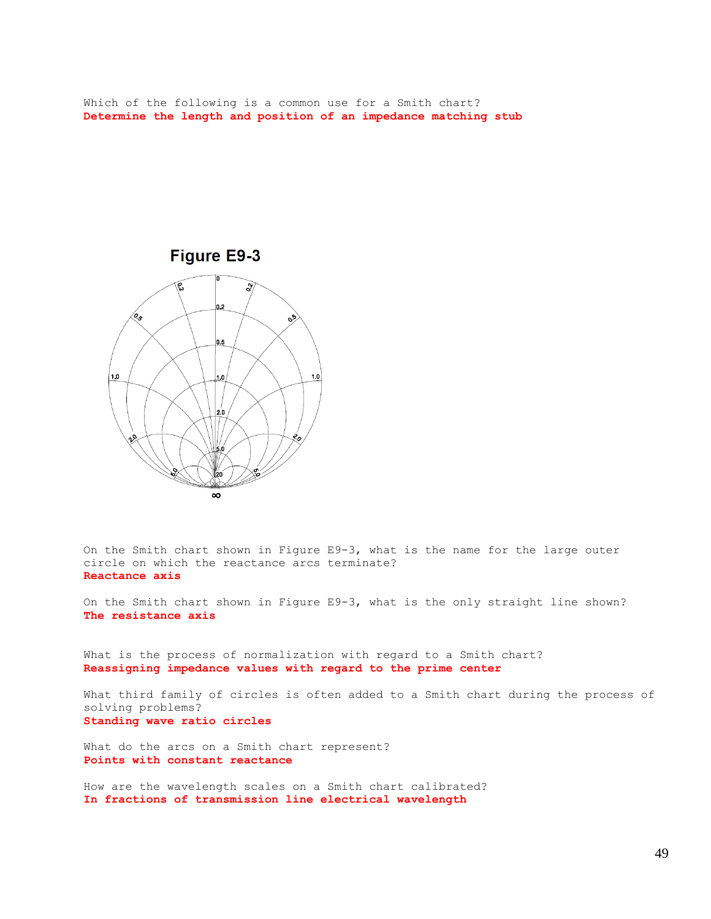Which of the following is a common use for a Smith chart? **Determine the length and position of an impedance matching stub**



On the Smith chart shown in Figure E9-3, what is the name for the large outer circle on which the reactance arcs terminate? **Reactance axis**

On the Smith chart shown in Figure E9-3, what is the only straight line shown? **The resistance axis**

What is the process of normalization with regard to a Smith chart? **Reassigning impedance values with regard to the prime center**

What third family of circles is often added to a Smith chart during the process of solving problems? **Standing wave ratio circles**

What do the arcs on a Smith chart represent? **Points with constant reactance**

How are the wavelength scales on a Smith chart calibrated? **In fractions of transmission line electrical wavelength**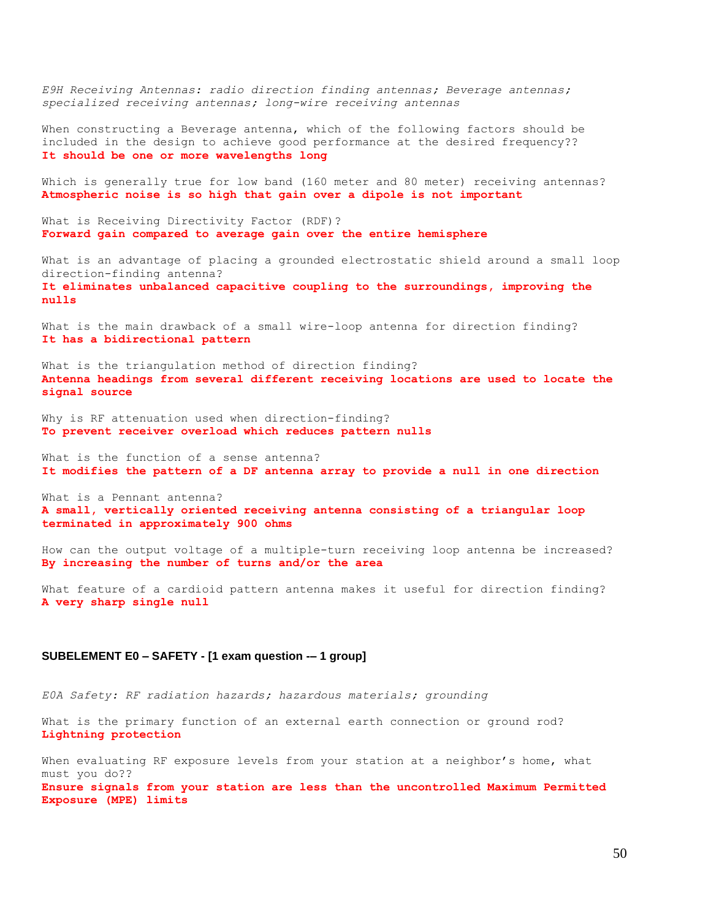*E9H Receiving Antennas: radio direction finding antennas; Beverage antennas; specialized receiving antennas; long-wire receiving antennas* When constructing a Beverage antenna, which of the following factors should be included in the design to achieve good performance at the desired frequency?? **It should be one or more wavelengths long** Which is generally true for low band (160 meter and 80 meter) receiving antennas? **Atmospheric noise is so high that gain over a dipole is not important** What is Receiving Directivity Factor (RDF)? **Forward gain compared to average gain over the entire hemisphere**  What is an advantage of placing a grounded electrostatic shield around a small loop direction-finding antenna? **It eliminates unbalanced capacitive coupling to the surroundings, improving the nulls** What is the main drawback of a small wire-loop antenna for direction finding? **It has a bidirectional pattern** What is the triangulation method of direction finding? **Antenna headings from several different receiving locations are used to locate the signal source** Why is RF attenuation used when direction-finding? **To prevent receiver overload which reduces pattern nulls** What is the function of a sense antenna? **It modifies the pattern of a DF antenna array to provide a null in one direction** What is a Pennant antenna? **A small, vertically oriented receiving antenna consisting of a triangular loop terminated in approximately 900 ohms**  How can the output voltage of a multiple-turn receiving loop antenna be increased? **By increasing the number of turns and/or the area** What feature of a cardioid pattern antenna makes it useful for direction finding? **A very sharp single null SUBELEMENT E0 – SAFETY - [1 exam question -– 1 group]**

*E0A Safety: RF radiation hazards; hazardous materials; grounding* 

What is the primary function of an external earth connection or ground rod? **Lightning protection**

When evaluating RF exposure levels from your station at a neighbor's home, what must you do?? **Ensure signals from your station are less than the uncontrolled Maximum Permitted Exposure (MPE) limits**